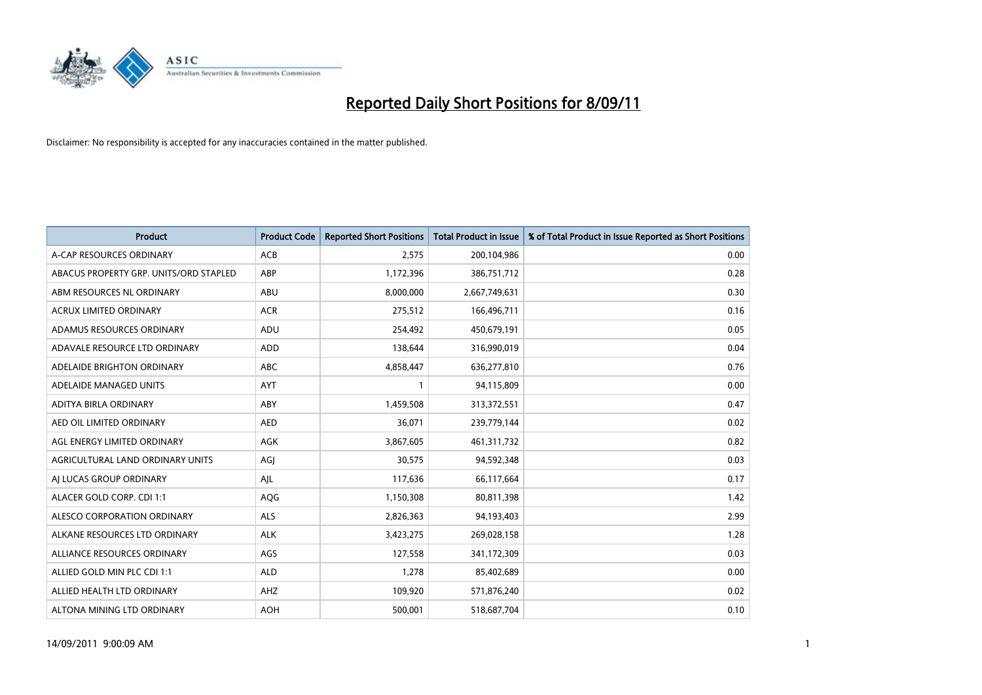

| <b>Product</b>                         | <b>Product Code</b> | <b>Reported Short Positions</b> | Total Product in Issue | % of Total Product in Issue Reported as Short Positions |
|----------------------------------------|---------------------|---------------------------------|------------------------|---------------------------------------------------------|
| A-CAP RESOURCES ORDINARY               | <b>ACB</b>          | 2,575                           | 200,104,986            | 0.00                                                    |
| ABACUS PROPERTY GRP. UNITS/ORD STAPLED | ABP                 | 1,172,396                       | 386,751,712            | 0.28                                                    |
| ABM RESOURCES NL ORDINARY              | ABU                 | 8,000,000                       | 2,667,749,631          | 0.30                                                    |
| <b>ACRUX LIMITED ORDINARY</b>          | <b>ACR</b>          | 275,512                         | 166,496,711            | 0.16                                                    |
| ADAMUS RESOURCES ORDINARY              | ADU                 | 254,492                         | 450,679,191            | 0.05                                                    |
| ADAVALE RESOURCE LTD ORDINARY          | <b>ADD</b>          | 138,644                         | 316,990,019            | 0.04                                                    |
| ADELAIDE BRIGHTON ORDINARY             | <b>ABC</b>          | 4,858,447                       | 636,277,810            | 0.76                                                    |
| ADELAIDE MANAGED UNITS                 | AYT                 |                                 | 94,115,809             | 0.00                                                    |
| ADITYA BIRLA ORDINARY                  | ABY                 | 1,459,508                       | 313,372,551            | 0.47                                                    |
| AED OIL LIMITED ORDINARY               | <b>AED</b>          | 36,071                          | 239,779,144            | 0.02                                                    |
| AGL ENERGY LIMITED ORDINARY            | <b>AGK</b>          | 3,867,605                       | 461,311,732            | 0.82                                                    |
| AGRICULTURAL LAND ORDINARY UNITS       | AGJ                 | 30,575                          | 94,592,348             | 0.03                                                    |
| AI LUCAS GROUP ORDINARY                | AJL                 | 117,636                         | 66,117,664             | 0.17                                                    |
| ALACER GOLD CORP. CDI 1:1              | AQG                 | 1,150,308                       | 80,811,398             | 1.42                                                    |
| ALESCO CORPORATION ORDINARY            | <b>ALS</b>          | 2,826,363                       | 94,193,403             | 2.99                                                    |
| ALKANE RESOURCES LTD ORDINARY          | <b>ALK</b>          | 3,423,275                       | 269,028,158            | 1.28                                                    |
| ALLIANCE RESOURCES ORDINARY            | AGS                 | 127,558                         | 341,172,309            | 0.03                                                    |
| ALLIED GOLD MIN PLC CDI 1:1            | <b>ALD</b>          | 1,278                           | 85,402,689             | 0.00                                                    |
| ALLIED HEALTH LTD ORDINARY             | AHZ                 | 109,920                         | 571,876,240            | 0.02                                                    |
| ALTONA MINING LTD ORDINARY             | <b>AOH</b>          | 500,001                         | 518,687,704            | 0.10                                                    |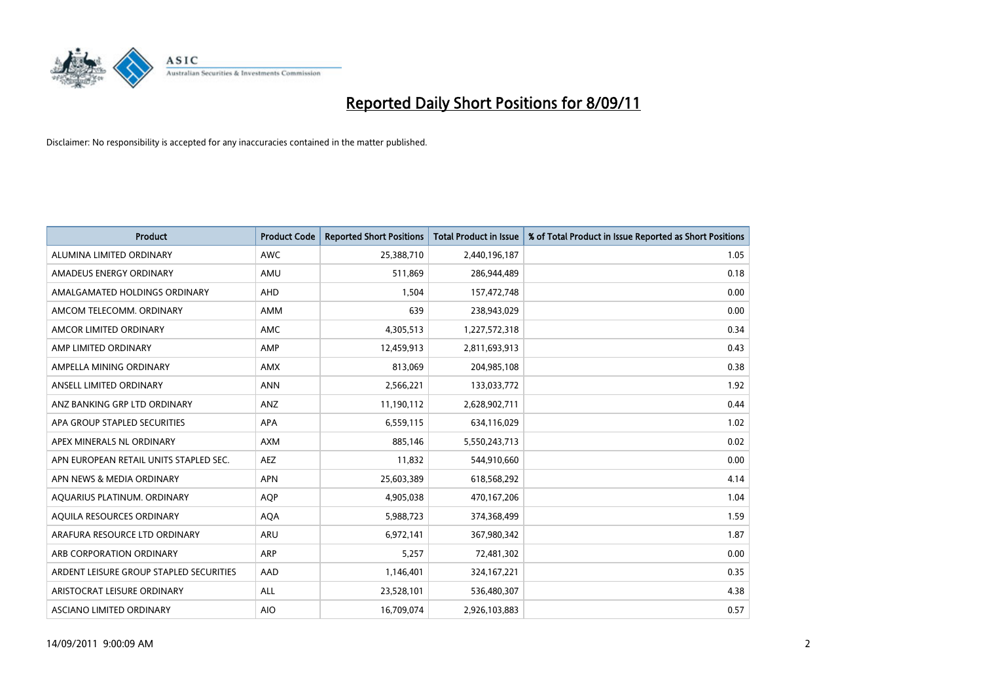

| <b>Product</b>                          | <b>Product Code</b> | <b>Reported Short Positions</b> | <b>Total Product in Issue</b> | % of Total Product in Issue Reported as Short Positions |
|-----------------------------------------|---------------------|---------------------------------|-------------------------------|---------------------------------------------------------|
| ALUMINA LIMITED ORDINARY                | <b>AWC</b>          | 25,388,710                      | 2,440,196,187                 | 1.05                                                    |
| AMADEUS ENERGY ORDINARY                 | AMU                 | 511,869                         | 286,944,489                   | 0.18                                                    |
| AMALGAMATED HOLDINGS ORDINARY           | AHD                 | 1,504                           | 157,472,748                   | 0.00                                                    |
| AMCOM TELECOMM. ORDINARY                | <b>AMM</b>          | 639                             | 238,943,029                   | 0.00                                                    |
| AMCOR LIMITED ORDINARY                  | <b>AMC</b>          | 4,305,513                       | 1,227,572,318                 | 0.34                                                    |
| AMP LIMITED ORDINARY                    | AMP                 | 12,459,913                      | 2,811,693,913                 | 0.43                                                    |
| AMPELLA MINING ORDINARY                 | <b>AMX</b>          | 813.069                         | 204,985,108                   | 0.38                                                    |
| ANSELL LIMITED ORDINARY                 | <b>ANN</b>          | 2,566,221                       | 133,033,772                   | 1.92                                                    |
| ANZ BANKING GRP LTD ORDINARY            | ANZ                 | 11,190,112                      | 2,628,902,711                 | 0.44                                                    |
| APA GROUP STAPLED SECURITIES            | <b>APA</b>          | 6,559,115                       | 634,116,029                   | 1.02                                                    |
| APEX MINERALS NL ORDINARY               | <b>AXM</b>          | 885,146                         | 5,550,243,713                 | 0.02                                                    |
| APN EUROPEAN RETAIL UNITS STAPLED SEC.  | <b>AEZ</b>          | 11,832                          | 544,910,660                   | 0.00                                                    |
| APN NEWS & MEDIA ORDINARY               | <b>APN</b>          | 25,603,389                      | 618,568,292                   | 4.14                                                    |
| AQUARIUS PLATINUM. ORDINARY             | <b>AOP</b>          | 4,905,038                       | 470,167,206                   | 1.04                                                    |
| AQUILA RESOURCES ORDINARY               | <b>AQA</b>          | 5,988,723                       | 374,368,499                   | 1.59                                                    |
| ARAFURA RESOURCE LTD ORDINARY           | <b>ARU</b>          | 6,972,141                       | 367,980,342                   | 1.87                                                    |
| ARB CORPORATION ORDINARY                | <b>ARP</b>          | 5,257                           | 72,481,302                    | 0.00                                                    |
| ARDENT LEISURE GROUP STAPLED SECURITIES | AAD                 | 1,146,401                       | 324, 167, 221                 | 0.35                                                    |
| ARISTOCRAT LEISURE ORDINARY             | <b>ALL</b>          | 23,528,101                      | 536,480,307                   | 4.38                                                    |
| ASCIANO LIMITED ORDINARY                | <b>AIO</b>          | 16,709,074                      | 2,926,103,883                 | 0.57                                                    |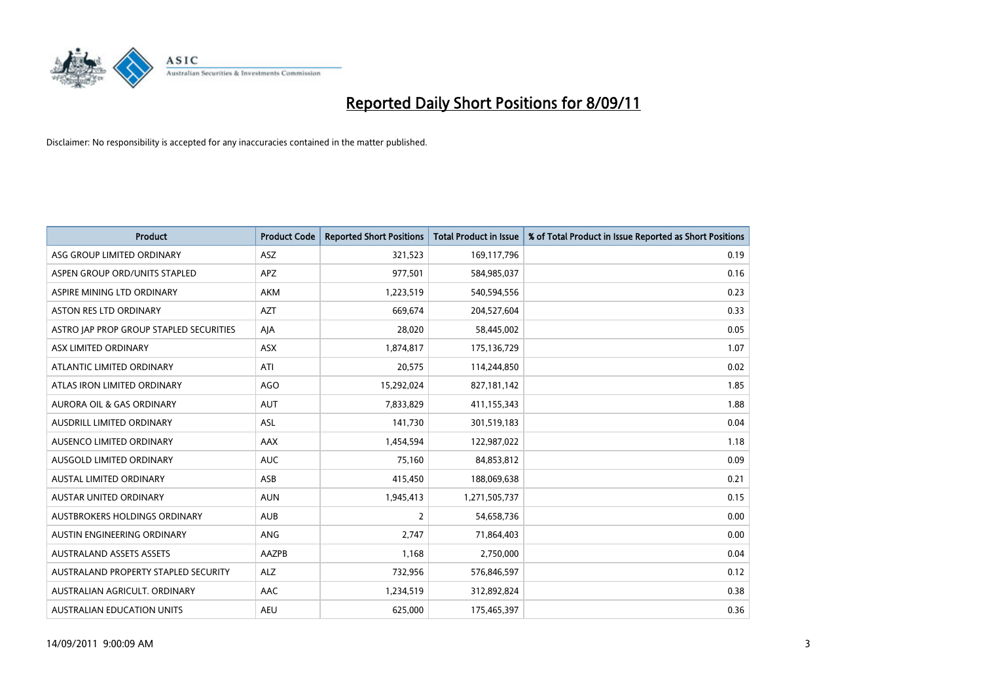

| <b>Product</b>                          | <b>Product Code</b> | <b>Reported Short Positions</b> | Total Product in Issue | % of Total Product in Issue Reported as Short Positions |
|-----------------------------------------|---------------------|---------------------------------|------------------------|---------------------------------------------------------|
| ASG GROUP LIMITED ORDINARY              | <b>ASZ</b>          | 321,523                         | 169,117,796            | 0.19                                                    |
| ASPEN GROUP ORD/UNITS STAPLED           | APZ                 | 977,501                         | 584,985,037            | 0.16                                                    |
| ASPIRE MINING LTD ORDINARY              | <b>AKM</b>          | 1,223,519                       | 540,594,556            | 0.23                                                    |
| ASTON RES LTD ORDINARY                  | <b>AZT</b>          | 669,674                         | 204,527,604            | 0.33                                                    |
| ASTRO JAP PROP GROUP STAPLED SECURITIES | AJA                 | 28,020                          | 58,445,002             | 0.05                                                    |
| ASX LIMITED ORDINARY                    | <b>ASX</b>          | 1,874,817                       | 175,136,729            | 1.07                                                    |
| ATLANTIC LIMITED ORDINARY               | ATI                 | 20,575                          | 114,244,850            | 0.02                                                    |
| ATLAS IRON LIMITED ORDINARY             | <b>AGO</b>          | 15,292,024                      | 827,181,142            | 1.85                                                    |
| AURORA OIL & GAS ORDINARY               | <b>AUT</b>          | 7,833,829                       | 411,155,343            | 1.88                                                    |
| AUSDRILL LIMITED ORDINARY               | <b>ASL</b>          | 141,730                         | 301,519,183            | 0.04                                                    |
| AUSENCO LIMITED ORDINARY                | AAX                 | 1,454,594                       | 122,987,022            | 1.18                                                    |
| AUSGOLD LIMITED ORDINARY                | <b>AUC</b>          | 75,160                          | 84,853,812             | 0.09                                                    |
| <b>AUSTAL LIMITED ORDINARY</b>          | ASB                 | 415,450                         | 188,069,638            | 0.21                                                    |
| <b>AUSTAR UNITED ORDINARY</b>           | <b>AUN</b>          | 1,945,413                       | 1,271,505,737          | 0.15                                                    |
| AUSTBROKERS HOLDINGS ORDINARY           | <b>AUB</b>          | 2                               | 54,658,736             | 0.00                                                    |
| AUSTIN ENGINEERING ORDINARY             | <b>ANG</b>          | 2,747                           | 71,864,403             | 0.00                                                    |
| <b>AUSTRALAND ASSETS ASSETS</b>         | AAZPB               | 1,168                           | 2,750,000              | 0.04                                                    |
| AUSTRALAND PROPERTY STAPLED SECURITY    | <b>ALZ</b>          | 732,956                         | 576,846,597            | 0.12                                                    |
| AUSTRALIAN AGRICULT, ORDINARY           | AAC                 | 1,234,519                       | 312,892,824            | 0.38                                                    |
| AUSTRALIAN EDUCATION UNITS              | <b>AEU</b>          | 625,000                         | 175,465,397            | 0.36                                                    |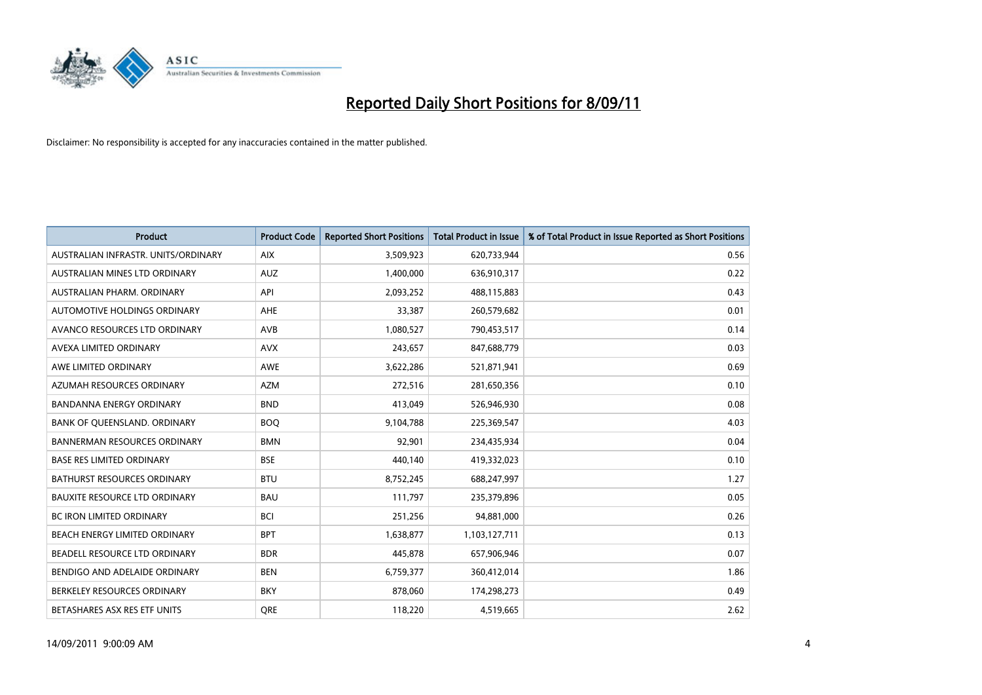

| Product                              | <b>Product Code</b> | <b>Reported Short Positions</b> | <b>Total Product in Issue</b> | % of Total Product in Issue Reported as Short Positions |
|--------------------------------------|---------------------|---------------------------------|-------------------------------|---------------------------------------------------------|
| AUSTRALIAN INFRASTR, UNITS/ORDINARY  | <b>AIX</b>          | 3,509,923                       | 620,733,944                   | 0.56                                                    |
| AUSTRALIAN MINES LTD ORDINARY        | <b>AUZ</b>          | 1,400,000                       | 636,910,317                   | 0.22                                                    |
| AUSTRALIAN PHARM, ORDINARY           | API                 | 2,093,252                       | 488,115,883                   | 0.43                                                    |
| AUTOMOTIVE HOLDINGS ORDINARY         | <b>AHE</b>          | 33,387                          | 260,579,682                   | 0.01                                                    |
| AVANCO RESOURCES LTD ORDINARY        | AVB                 | 1,080,527                       | 790,453,517                   | 0.14                                                    |
| AVEXA LIMITED ORDINARY               | <b>AVX</b>          | 243,657                         | 847,688,779                   | 0.03                                                    |
| AWE LIMITED ORDINARY                 | <b>AWE</b>          | 3,622,286                       | 521,871,941                   | 0.69                                                    |
| AZUMAH RESOURCES ORDINARY            | <b>AZM</b>          | 272,516                         | 281,650,356                   | 0.10                                                    |
| BANDANNA ENERGY ORDINARY             | <b>BND</b>          | 413,049                         | 526,946,930                   | 0.08                                                    |
| BANK OF QUEENSLAND. ORDINARY         | <b>BOQ</b>          | 9,104,788                       | 225,369,547                   | 4.03                                                    |
| <b>BANNERMAN RESOURCES ORDINARY</b>  | <b>BMN</b>          | 92,901                          | 234,435,934                   | 0.04                                                    |
| <b>BASE RES LIMITED ORDINARY</b>     | <b>BSE</b>          | 440,140                         | 419,332,023                   | 0.10                                                    |
| BATHURST RESOURCES ORDINARY          | <b>BTU</b>          | 8,752,245                       | 688,247,997                   | 1.27                                                    |
| <b>BAUXITE RESOURCE LTD ORDINARY</b> | <b>BAU</b>          | 111,797                         | 235,379,896                   | 0.05                                                    |
| <b>BC IRON LIMITED ORDINARY</b>      | <b>BCI</b>          | 251,256                         | 94,881,000                    | 0.26                                                    |
| BEACH ENERGY LIMITED ORDINARY        | <b>BPT</b>          | 1,638,877                       | 1,103,127,711                 | 0.13                                                    |
| BEADELL RESOURCE LTD ORDINARY        | <b>BDR</b>          | 445,878                         | 657,906,946                   | 0.07                                                    |
| BENDIGO AND ADELAIDE ORDINARY        | <b>BEN</b>          | 6,759,377                       | 360,412,014                   | 1.86                                                    |
| BERKELEY RESOURCES ORDINARY          | <b>BKY</b>          | 878,060                         | 174,298,273                   | 0.49                                                    |
| BETASHARES ASX RES ETF UNITS         | <b>ORE</b>          | 118,220                         | 4,519,665                     | 2.62                                                    |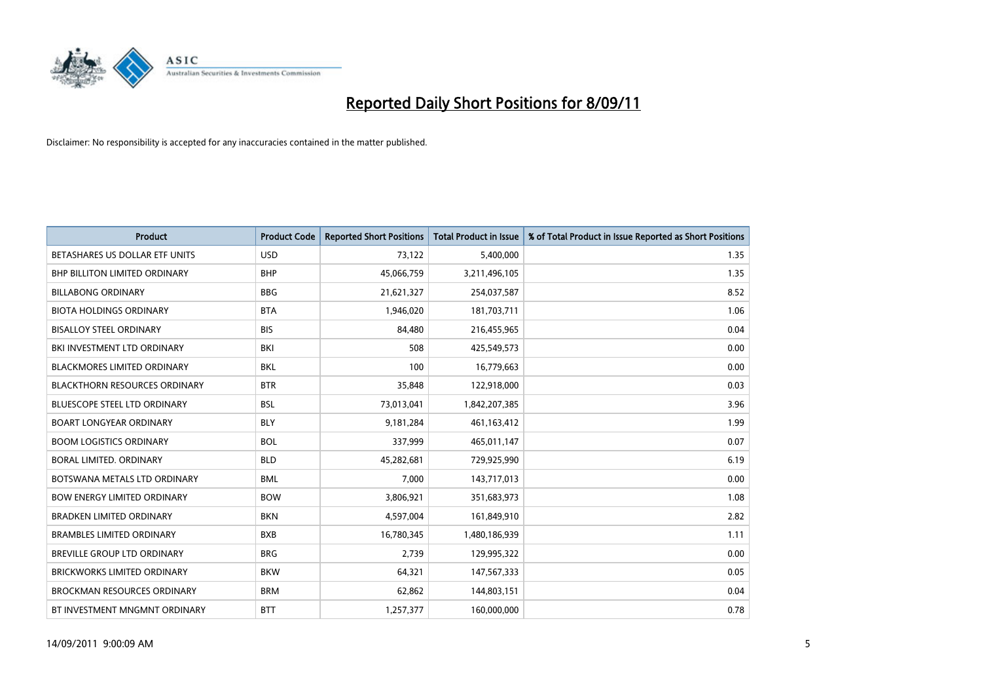

| <b>Product</b>                       | <b>Product Code</b> | <b>Reported Short Positions</b> | <b>Total Product in Issue</b> | % of Total Product in Issue Reported as Short Positions |
|--------------------------------------|---------------------|---------------------------------|-------------------------------|---------------------------------------------------------|
| BETASHARES US DOLLAR ETF UNITS       | <b>USD</b>          | 73,122                          | 5,400,000                     | 1.35                                                    |
| BHP BILLITON LIMITED ORDINARY        | <b>BHP</b>          | 45,066,759                      | 3,211,496,105                 | 1.35                                                    |
| <b>BILLABONG ORDINARY</b>            | <b>BBG</b>          | 21,621,327                      | 254,037,587                   | 8.52                                                    |
| <b>BIOTA HOLDINGS ORDINARY</b>       | <b>BTA</b>          | 1,946,020                       | 181,703,711                   | 1.06                                                    |
| <b>BISALLOY STEEL ORDINARY</b>       | <b>BIS</b>          | 84,480                          | 216,455,965                   | 0.04                                                    |
| BKI INVESTMENT LTD ORDINARY          | <b>BKI</b>          | 508                             | 425,549,573                   | 0.00                                                    |
| <b>BLACKMORES LIMITED ORDINARY</b>   | <b>BKL</b>          | 100                             | 16,779,663                    | 0.00                                                    |
| <b>BLACKTHORN RESOURCES ORDINARY</b> | <b>BTR</b>          | 35,848                          | 122,918,000                   | 0.03                                                    |
| BLUESCOPE STEEL LTD ORDINARY         | <b>BSL</b>          | 73,013,041                      | 1,842,207,385                 | 3.96                                                    |
| <b>BOART LONGYEAR ORDINARY</b>       | <b>BLY</b>          | 9,181,284                       | 461,163,412                   | 1.99                                                    |
| <b>BOOM LOGISTICS ORDINARY</b>       | <b>BOL</b>          | 337,999                         | 465,011,147                   | 0.07                                                    |
| BORAL LIMITED. ORDINARY              | <b>BLD</b>          | 45,282,681                      | 729,925,990                   | 6.19                                                    |
| BOTSWANA METALS LTD ORDINARY         | <b>BML</b>          | 7,000                           | 143,717,013                   | 0.00                                                    |
| <b>BOW ENERGY LIMITED ORDINARY</b>   | <b>BOW</b>          | 3,806,921                       | 351,683,973                   | 1.08                                                    |
| <b>BRADKEN LIMITED ORDINARY</b>      | <b>BKN</b>          | 4,597,004                       | 161,849,910                   | 2.82                                                    |
| <b>BRAMBLES LIMITED ORDINARY</b>     | <b>BXB</b>          | 16,780,345                      | 1,480,186,939                 | 1.11                                                    |
| BREVILLE GROUP LTD ORDINARY          | <b>BRG</b>          | 2,739                           | 129,995,322                   | 0.00                                                    |
| <b>BRICKWORKS LIMITED ORDINARY</b>   | <b>BKW</b>          | 64,321                          | 147,567,333                   | 0.05                                                    |
| <b>BROCKMAN RESOURCES ORDINARY</b>   | <b>BRM</b>          | 62,862                          | 144,803,151                   | 0.04                                                    |
| BT INVESTMENT MNGMNT ORDINARY        | <b>BTT</b>          | 1,257,377                       | 160,000,000                   | 0.78                                                    |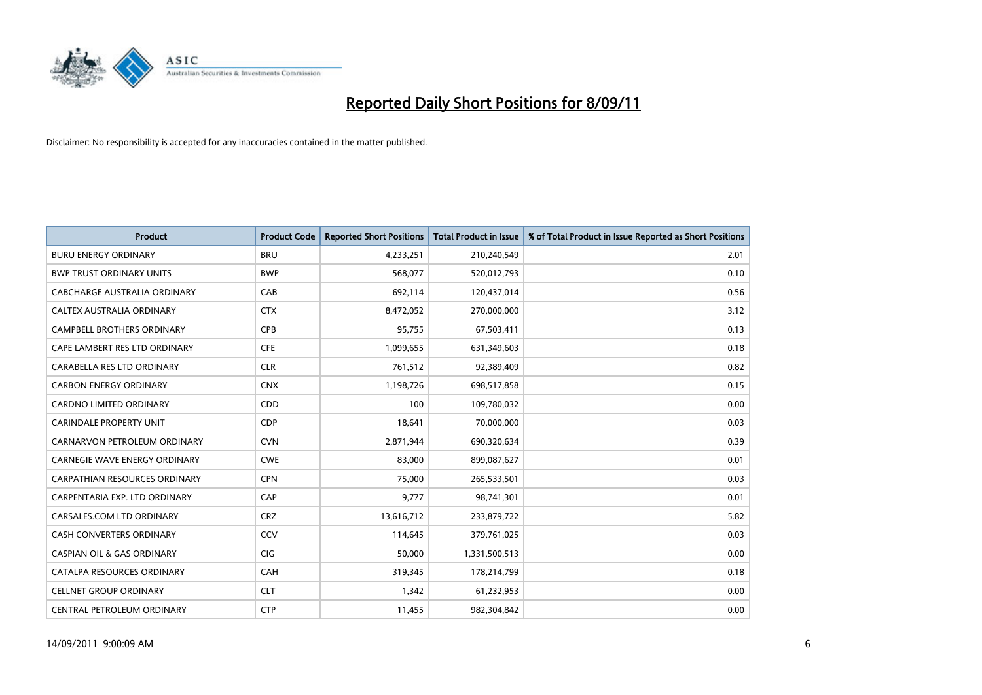

| <b>Product</b>                        | <b>Product Code</b> | <b>Reported Short Positions</b> | <b>Total Product in Issue</b> | % of Total Product in Issue Reported as Short Positions |
|---------------------------------------|---------------------|---------------------------------|-------------------------------|---------------------------------------------------------|
| <b>BURU ENERGY ORDINARY</b>           | <b>BRU</b>          | 4,233,251                       | 210,240,549                   | 2.01                                                    |
| <b>BWP TRUST ORDINARY UNITS</b>       | <b>BWP</b>          | 568,077                         | 520,012,793                   | 0.10                                                    |
| CABCHARGE AUSTRALIA ORDINARY          | CAB                 | 692,114                         | 120,437,014                   | 0.56                                                    |
| CALTEX AUSTRALIA ORDINARY             | <b>CTX</b>          | 8,472,052                       | 270,000,000                   | 3.12                                                    |
| <b>CAMPBELL BROTHERS ORDINARY</b>     | <b>CPB</b>          | 95,755                          | 67,503,411                    | 0.13                                                    |
| CAPE LAMBERT RES LTD ORDINARY         | <b>CFE</b>          | 1,099,655                       | 631,349,603                   | 0.18                                                    |
| CARABELLA RES LTD ORDINARY            | <b>CLR</b>          | 761,512                         | 92,389,409                    | 0.82                                                    |
| <b>CARBON ENERGY ORDINARY</b>         | <b>CNX</b>          | 1,198,726                       | 698,517,858                   | 0.15                                                    |
| CARDNO LIMITED ORDINARY               | CDD                 | 100                             | 109,780,032                   | 0.00                                                    |
| <b>CARINDALE PROPERTY UNIT</b>        | <b>CDP</b>          | 18,641                          | 70,000,000                    | 0.03                                                    |
| CARNARVON PETROLEUM ORDINARY          | <b>CVN</b>          | 2,871,944                       | 690,320,634                   | 0.39                                                    |
| <b>CARNEGIE WAVE ENERGY ORDINARY</b>  | <b>CWE</b>          | 83,000                          | 899,087,627                   | 0.01                                                    |
| CARPATHIAN RESOURCES ORDINARY         | <b>CPN</b>          | 75,000                          | 265,533,501                   | 0.03                                                    |
| CARPENTARIA EXP. LTD ORDINARY         | CAP                 | 9,777                           | 98,741,301                    | 0.01                                                    |
| CARSALES.COM LTD ORDINARY             | <b>CRZ</b>          | 13,616,712                      | 233,879,722                   | 5.82                                                    |
| CASH CONVERTERS ORDINARY              | CCV                 | 114,645                         | 379,761,025                   | 0.03                                                    |
| <b>CASPIAN OIL &amp; GAS ORDINARY</b> | <b>CIG</b>          | 50,000                          | 1,331,500,513                 | 0.00                                                    |
| CATALPA RESOURCES ORDINARY            | CAH                 | 319,345                         | 178,214,799                   | 0.18                                                    |
| <b>CELLNET GROUP ORDINARY</b>         | <b>CLT</b>          | 1,342                           | 61,232,953                    | 0.00                                                    |
| CENTRAL PETROLEUM ORDINARY            | <b>CTP</b>          | 11,455                          | 982,304,842                   | 0.00                                                    |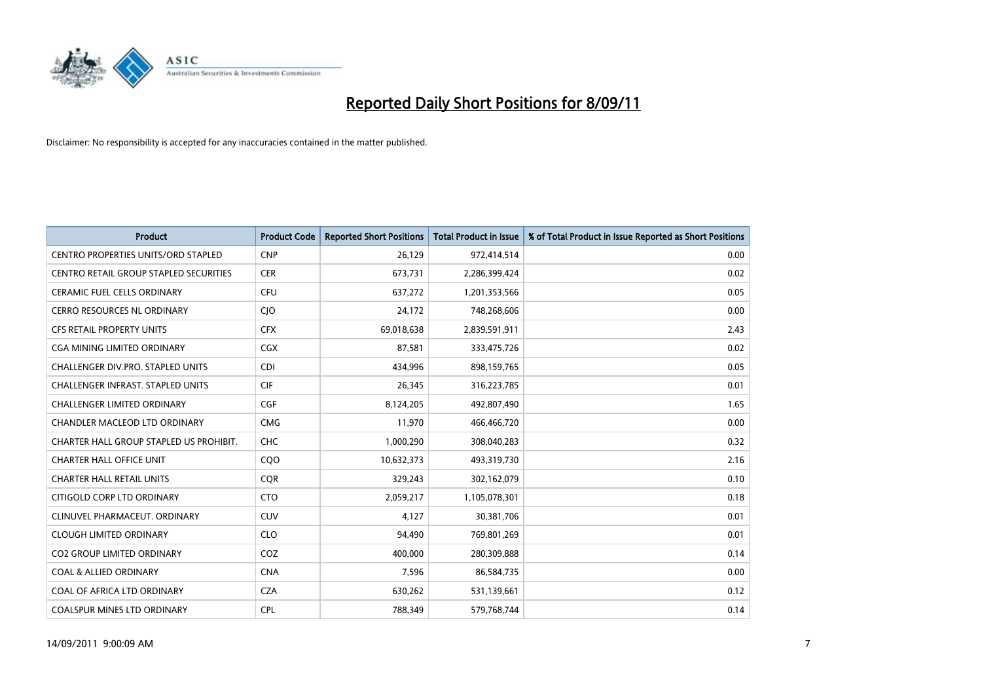

| Product                                       | <b>Product Code</b> | <b>Reported Short Positions</b> | Total Product in Issue | % of Total Product in Issue Reported as Short Positions |
|-----------------------------------------------|---------------------|---------------------------------|------------------------|---------------------------------------------------------|
| <b>CENTRO PROPERTIES UNITS/ORD STAPLED</b>    | <b>CNP</b>          | 26,129                          | 972,414,514            | 0.00                                                    |
| <b>CENTRO RETAIL GROUP STAPLED SECURITIES</b> | <b>CER</b>          | 673,731                         | 2,286,399,424          | 0.02                                                    |
| <b>CERAMIC FUEL CELLS ORDINARY</b>            | <b>CFU</b>          | 637,272                         | 1,201,353,566          | 0.05                                                    |
| CERRO RESOURCES NL ORDINARY                   | <b>CIO</b>          | 24,172                          | 748,268,606            | 0.00                                                    |
| <b>CFS RETAIL PROPERTY UNITS</b>              | <b>CFX</b>          | 69,018,638                      | 2,839,591,911          | 2.43                                                    |
| <b>CGA MINING LIMITED ORDINARY</b>            | <b>CGX</b>          | 87,581                          | 333,475,726            | 0.02                                                    |
| CHALLENGER DIV.PRO. STAPLED UNITS             | <b>CDI</b>          | 434,996                         | 898,159,765            | 0.05                                                    |
| <b>CHALLENGER INFRAST, STAPLED UNITS</b>      | <b>CIF</b>          | 26,345                          | 316,223,785            | 0.01                                                    |
| <b>CHALLENGER LIMITED ORDINARY</b>            | <b>CGF</b>          | 8,124,205                       | 492,807,490            | 1.65                                                    |
| CHANDLER MACLEOD LTD ORDINARY                 | <b>CMG</b>          | 11,970                          | 466,466,720            | 0.00                                                    |
| CHARTER HALL GROUP STAPLED US PROHIBIT.       | <b>CHC</b>          | 1,000,290                       | 308,040,283            | 0.32                                                    |
| <b>CHARTER HALL OFFICE UNIT</b>               | COO                 | 10,632,373                      | 493,319,730            | 2.16                                                    |
| <b>CHARTER HALL RETAIL UNITS</b>              | <b>CQR</b>          | 329,243                         | 302,162,079            | 0.10                                                    |
| CITIGOLD CORP LTD ORDINARY                    | <b>CTO</b>          | 2,059,217                       | 1,105,078,301          | 0.18                                                    |
| CLINUVEL PHARMACEUT, ORDINARY                 | <b>CUV</b>          | 4,127                           | 30,381,706             | 0.01                                                    |
| <b>CLOUGH LIMITED ORDINARY</b>                | <b>CLO</b>          | 94,490                          | 769,801,269            | 0.01                                                    |
| <b>CO2 GROUP LIMITED ORDINARY</b>             | COZ                 | 400,000                         | 280,309,888            | 0.14                                                    |
| <b>COAL &amp; ALLIED ORDINARY</b>             | <b>CNA</b>          | 7,596                           | 86,584,735             | 0.00                                                    |
| COAL OF AFRICA LTD ORDINARY                   | <b>CZA</b>          | 630,262                         | 531,139,661            | 0.12                                                    |
| <b>COALSPUR MINES LTD ORDINARY</b>            | <b>CPL</b>          | 788,349                         | 579,768,744            | 0.14                                                    |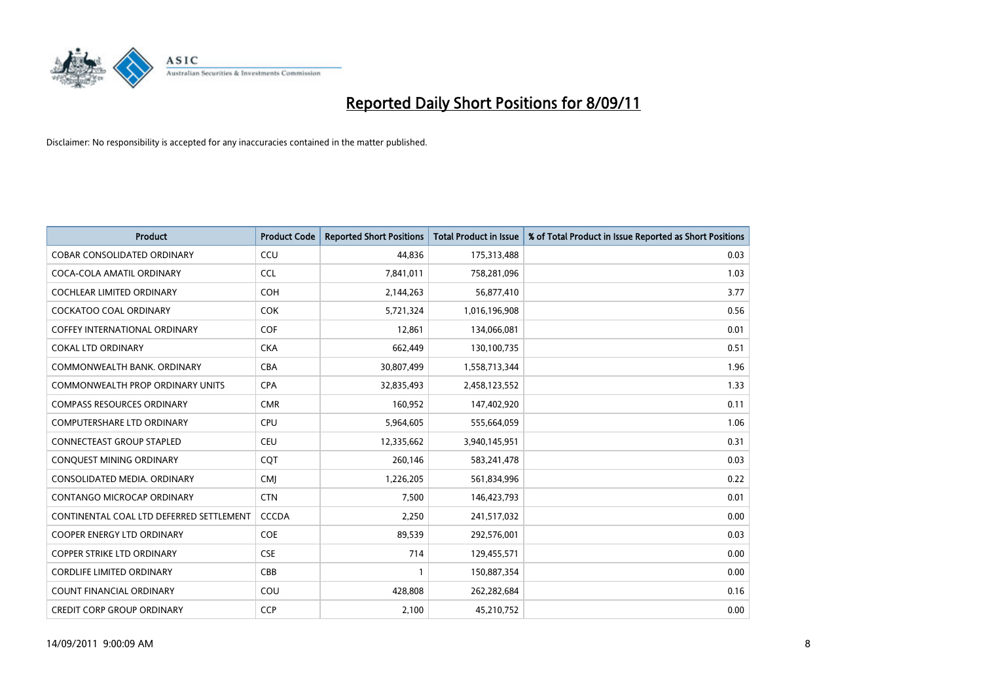

| Product                                  | <b>Product Code</b> | <b>Reported Short Positions</b> | Total Product in Issue | % of Total Product in Issue Reported as Short Positions |
|------------------------------------------|---------------------|---------------------------------|------------------------|---------------------------------------------------------|
| <b>COBAR CONSOLIDATED ORDINARY</b>       | CCU                 | 44,836                          | 175,313,488            | 0.03                                                    |
| COCA-COLA AMATIL ORDINARY                | <b>CCL</b>          | 7,841,011                       | 758,281,096            | 1.03                                                    |
| <b>COCHLEAR LIMITED ORDINARY</b>         | <b>COH</b>          | 2,144,263                       | 56,877,410             | 3.77                                                    |
| COCKATOO COAL ORDINARY                   | <b>COK</b>          | 5,721,324                       | 1,016,196,908          | 0.56                                                    |
| <b>COFFEY INTERNATIONAL ORDINARY</b>     | <b>COF</b>          | 12,861                          | 134,066,081            | 0.01                                                    |
| <b>COKAL LTD ORDINARY</b>                | <b>CKA</b>          | 662,449                         | 130,100,735            | 0.51                                                    |
| COMMONWEALTH BANK, ORDINARY              | <b>CBA</b>          | 30,807,499                      | 1,558,713,344          | 1.96                                                    |
| <b>COMMONWEALTH PROP ORDINARY UNITS</b>  | <b>CPA</b>          | 32,835,493                      | 2,458,123,552          | 1.33                                                    |
| <b>COMPASS RESOURCES ORDINARY</b>        | <b>CMR</b>          | 160,952                         | 147,402,920            | 0.11                                                    |
| <b>COMPUTERSHARE LTD ORDINARY</b>        | <b>CPU</b>          | 5,964,605                       | 555,664,059            | 1.06                                                    |
| <b>CONNECTEAST GROUP STAPLED</b>         | <b>CEU</b>          | 12,335,662                      | 3,940,145,951          | 0.31                                                    |
| CONQUEST MINING ORDINARY                 | CQT                 | 260,146                         | 583,241,478            | 0.03                                                    |
| CONSOLIDATED MEDIA, ORDINARY             | <b>CMI</b>          | 1,226,205                       | 561,834,996            | 0.22                                                    |
| CONTANGO MICROCAP ORDINARY               | <b>CTN</b>          | 7,500                           | 146,423,793            | 0.01                                                    |
| CONTINENTAL COAL LTD DEFERRED SETTLEMENT | <b>CCCDA</b>        | 2,250                           | 241,517,032            | 0.00                                                    |
| <b>COOPER ENERGY LTD ORDINARY</b>        | <b>COE</b>          | 89,539                          | 292,576,001            | 0.03                                                    |
| <b>COPPER STRIKE LTD ORDINARY</b>        | <b>CSE</b>          | 714                             | 129,455,571            | 0.00                                                    |
| <b>CORDLIFE LIMITED ORDINARY</b>         | CBB                 |                                 | 150,887,354            | 0.00                                                    |
| <b>COUNT FINANCIAL ORDINARY</b>          | COU                 | 428,808                         | 262,282,684            | 0.16                                                    |
| <b>CREDIT CORP GROUP ORDINARY</b>        | <b>CCP</b>          | 2,100                           | 45,210,752             | 0.00                                                    |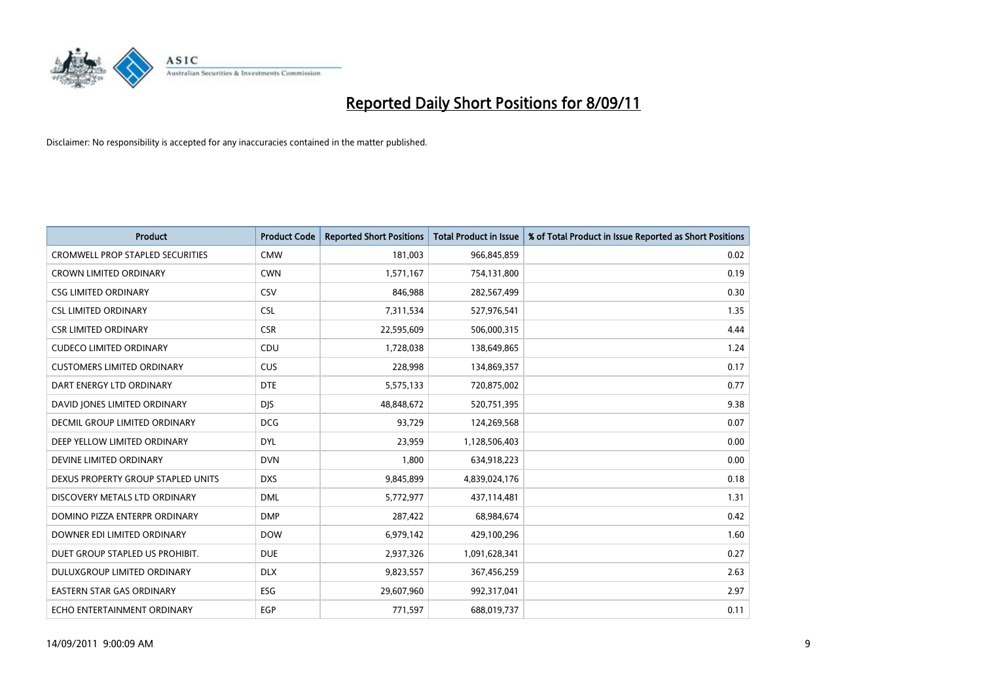

| Product                                 | <b>Product Code</b> | <b>Reported Short Positions</b> | <b>Total Product in Issue</b> | % of Total Product in Issue Reported as Short Positions |
|-----------------------------------------|---------------------|---------------------------------|-------------------------------|---------------------------------------------------------|
| <b>CROMWELL PROP STAPLED SECURITIES</b> | <b>CMW</b>          | 181,003                         | 966,845,859                   | 0.02                                                    |
| <b>CROWN LIMITED ORDINARY</b>           | <b>CWN</b>          | 1,571,167                       | 754,131,800                   | 0.19                                                    |
| <b>CSG LIMITED ORDINARY</b>             | CSV                 | 846,988                         | 282,567,499                   | 0.30                                                    |
| <b>CSL LIMITED ORDINARY</b>             | <b>CSL</b>          | 7,311,534                       | 527,976,541                   | 1.35                                                    |
| <b>CSR LIMITED ORDINARY</b>             | <b>CSR</b>          | 22,595,609                      | 506,000,315                   | 4.44                                                    |
| <b>CUDECO LIMITED ORDINARY</b>          | CDU                 | 1,728,038                       | 138,649,865                   | 1.24                                                    |
| <b>CUSTOMERS LIMITED ORDINARY</b>       | <b>CUS</b>          | 228,998                         | 134,869,357                   | 0.17                                                    |
| DART ENERGY LTD ORDINARY                | <b>DTE</b>          | 5,575,133                       | 720,875,002                   | 0.77                                                    |
| DAVID JONES LIMITED ORDINARY            | <b>DJS</b>          | 48,848,672                      | 520,751,395                   | 9.38                                                    |
| DECMIL GROUP LIMITED ORDINARY           | <b>DCG</b>          | 93,729                          | 124,269,568                   | 0.07                                                    |
| DEEP YELLOW LIMITED ORDINARY            | <b>DYL</b>          | 23,959                          | 1,128,506,403                 | 0.00                                                    |
| DEVINE LIMITED ORDINARY                 | <b>DVN</b>          | 1,800                           | 634,918,223                   | 0.00                                                    |
| DEXUS PROPERTY GROUP STAPLED UNITS      | <b>DXS</b>          | 9,845,899                       | 4,839,024,176                 | 0.18                                                    |
| DISCOVERY METALS LTD ORDINARY           | <b>DML</b>          | 5,772,977                       | 437,114,481                   | 1.31                                                    |
| DOMINO PIZZA ENTERPR ORDINARY           | <b>DMP</b>          | 287,422                         | 68,984,674                    | 0.42                                                    |
| DOWNER EDI LIMITED ORDINARY             | <b>DOW</b>          | 6,979,142                       | 429,100,296                   | 1.60                                                    |
| DUET GROUP STAPLED US PROHIBIT.         | <b>DUE</b>          | 2,937,326                       | 1,091,628,341                 | 0.27                                                    |
| DULUXGROUP LIMITED ORDINARY             | <b>DLX</b>          | 9,823,557                       | 367,456,259                   | 2.63                                                    |
| <b>EASTERN STAR GAS ORDINARY</b>        | ESG                 | 29,607,960                      | 992,317,041                   | 2.97                                                    |
| ECHO ENTERTAINMENT ORDINARY             | EGP                 | 771,597                         | 688,019,737                   | 0.11                                                    |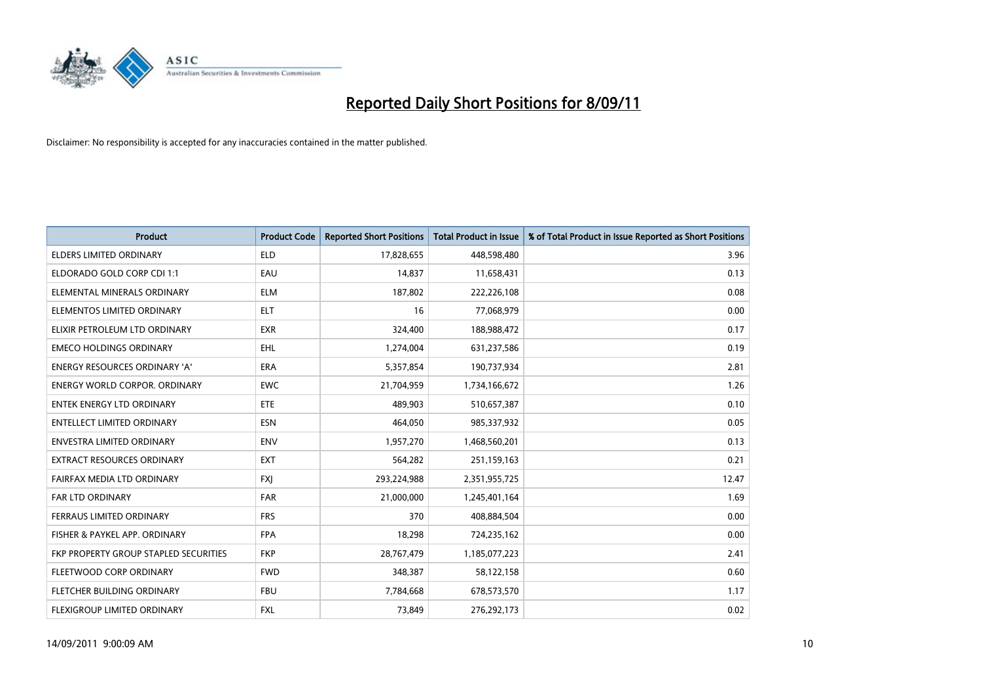

| Product                               | <b>Product Code</b> | <b>Reported Short Positions</b> | Total Product in Issue | % of Total Product in Issue Reported as Short Positions |
|---------------------------------------|---------------------|---------------------------------|------------------------|---------------------------------------------------------|
| <b>ELDERS LIMITED ORDINARY</b>        | <b>ELD</b>          | 17,828,655                      | 448,598,480            | 3.96                                                    |
| ELDORADO GOLD CORP CDI 1:1            | EAU                 | 14,837                          | 11,658,431             | 0.13                                                    |
| ELEMENTAL MINERALS ORDINARY           | <b>ELM</b>          | 187,802                         | 222,226,108            | 0.08                                                    |
| ELEMENTOS LIMITED ORDINARY            | <b>ELT</b>          | 16                              | 77,068,979             | 0.00                                                    |
| ELIXIR PETROLEUM LTD ORDINARY         | <b>EXR</b>          | 324,400                         | 188,988,472            | 0.17                                                    |
| <b>EMECO HOLDINGS ORDINARY</b>        | <b>EHL</b>          | 1,274,004                       | 631,237,586            | 0.19                                                    |
| <b>ENERGY RESOURCES ORDINARY 'A'</b>  | ERA                 | 5,357,854                       | 190,737,934            | 2.81                                                    |
| <b>ENERGY WORLD CORPOR, ORDINARY</b>  | <b>EWC</b>          | 21,704,959                      | 1,734,166,672          | 1.26                                                    |
| ENTEK ENERGY LTD ORDINARY             | <b>ETE</b>          | 489,903                         | 510,657,387            | 0.10                                                    |
| <b>ENTELLECT LIMITED ORDINARY</b>     | <b>ESN</b>          | 464,050                         | 985,337,932            | 0.05                                                    |
| <b>ENVESTRA LIMITED ORDINARY</b>      | <b>ENV</b>          | 1,957,270                       | 1,468,560,201          | 0.13                                                    |
| EXTRACT RESOURCES ORDINARY            | <b>EXT</b>          | 564,282                         | 251,159,163            | 0.21                                                    |
| FAIRFAX MEDIA LTD ORDINARY            | <b>FXI</b>          | 293,224,988                     | 2,351,955,725          | 12.47                                                   |
| <b>FAR LTD ORDINARY</b>               | <b>FAR</b>          | 21,000,000                      | 1,245,401,164          | 1.69                                                    |
| <b>FERRAUS LIMITED ORDINARY</b>       | <b>FRS</b>          | 370                             | 408,884,504            | 0.00                                                    |
| FISHER & PAYKEL APP. ORDINARY         | <b>FPA</b>          | 18,298                          | 724,235,162            | 0.00                                                    |
| FKP PROPERTY GROUP STAPLED SECURITIES | <b>FKP</b>          | 28,767,479                      | 1,185,077,223          | 2.41                                                    |
| FLEETWOOD CORP ORDINARY               | <b>FWD</b>          | 348,387                         | 58,122,158             | 0.60                                                    |
| FLETCHER BUILDING ORDINARY            | <b>FBU</b>          | 7,784,668                       | 678,573,570            | 1.17                                                    |
| FLEXIGROUP LIMITED ORDINARY           | <b>FXL</b>          | 73,849                          | 276,292,173            | 0.02                                                    |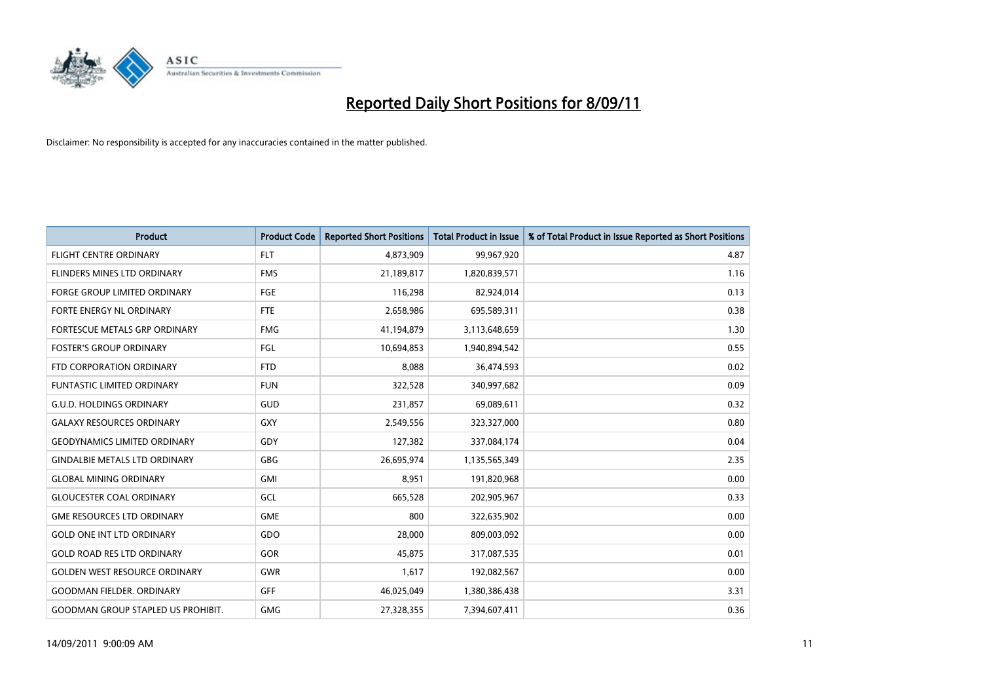

| <b>Product</b>                            | <b>Product Code</b> | <b>Reported Short Positions</b> | <b>Total Product in Issue</b> | % of Total Product in Issue Reported as Short Positions |
|-------------------------------------------|---------------------|---------------------------------|-------------------------------|---------------------------------------------------------|
| <b>FLIGHT CENTRE ORDINARY</b>             | <b>FLT</b>          | 4,873,909                       | 99,967,920                    | 4.87                                                    |
| FLINDERS MINES LTD ORDINARY               | <b>FMS</b>          | 21,189,817                      | 1,820,839,571                 | 1.16                                                    |
| <b>FORGE GROUP LIMITED ORDINARY</b>       | FGE                 | 116,298                         | 82,924,014                    | 0.13                                                    |
| FORTE ENERGY NL ORDINARY                  | <b>FTE</b>          | 2,658,986                       | 695,589,311                   | 0.38                                                    |
| FORTESCUE METALS GRP ORDINARY             | <b>FMG</b>          | 41,194,879                      | 3,113,648,659                 | 1.30                                                    |
| <b>FOSTER'S GROUP ORDINARY</b>            | FGL                 | 10,694,853                      | 1,940,894,542                 | 0.55                                                    |
| FTD CORPORATION ORDINARY                  | <b>FTD</b>          | 8,088                           | 36,474,593                    | 0.02                                                    |
| <b>FUNTASTIC LIMITED ORDINARY</b>         | <b>FUN</b>          | 322,528                         | 340,997,682                   | 0.09                                                    |
| <b>G.U.D. HOLDINGS ORDINARY</b>           | GUD                 | 231,857                         | 69,089,611                    | 0.32                                                    |
| <b>GALAXY RESOURCES ORDINARY</b>          | GXY                 | 2,549,556                       | 323,327,000                   | 0.80                                                    |
| <b>GEODYNAMICS LIMITED ORDINARY</b>       | GDY                 | 127,382                         | 337,084,174                   | 0.04                                                    |
| <b>GINDALBIE METALS LTD ORDINARY</b>      | <b>GBG</b>          | 26,695,974                      | 1,135,565,349                 | 2.35                                                    |
| <b>GLOBAL MINING ORDINARY</b>             | <b>GMI</b>          | 8,951                           | 191,820,968                   | 0.00                                                    |
| <b>GLOUCESTER COAL ORDINARY</b>           | GCL                 | 665,528                         | 202,905,967                   | 0.33                                                    |
| <b>GME RESOURCES LTD ORDINARY</b>         | <b>GME</b>          | 800                             | 322,635,902                   | 0.00                                                    |
| <b>GOLD ONE INT LTD ORDINARY</b>          | GDO                 | 28,000                          | 809,003,092                   | 0.00                                                    |
| <b>GOLD ROAD RES LTD ORDINARY</b>         | GOR                 | 45,875                          | 317,087,535                   | 0.01                                                    |
| <b>GOLDEN WEST RESOURCE ORDINARY</b>      | <b>GWR</b>          | 1,617                           | 192,082,567                   | 0.00                                                    |
| <b>GOODMAN FIELDER, ORDINARY</b>          | <b>GFF</b>          | 46,025,049                      | 1,380,386,438                 | 3.31                                                    |
| <b>GOODMAN GROUP STAPLED US PROHIBIT.</b> | <b>GMG</b>          | 27,328,355                      | 7,394,607,411                 | 0.36                                                    |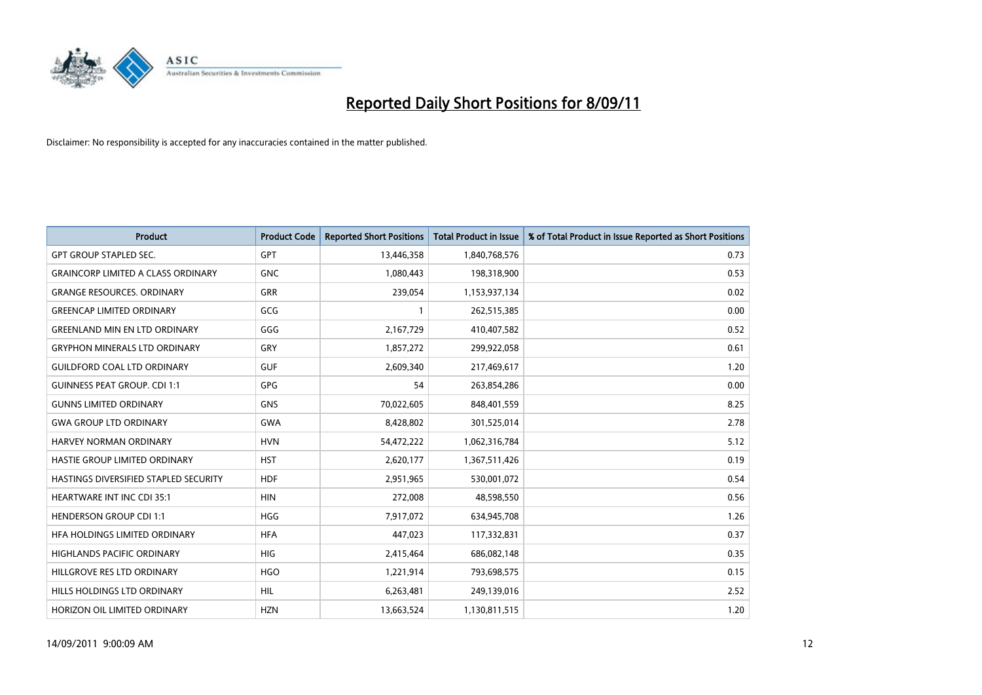

| <b>Product</b>                            | <b>Product Code</b> | <b>Reported Short Positions</b> | Total Product in Issue | % of Total Product in Issue Reported as Short Positions |
|-------------------------------------------|---------------------|---------------------------------|------------------------|---------------------------------------------------------|
| <b>GPT GROUP STAPLED SEC.</b>             | <b>GPT</b>          | 13,446,358                      | 1,840,768,576          | 0.73                                                    |
| <b>GRAINCORP LIMITED A CLASS ORDINARY</b> | <b>GNC</b>          | 1,080,443                       | 198,318,900            | 0.53                                                    |
| <b>GRANGE RESOURCES. ORDINARY</b>         | <b>GRR</b>          | 239,054                         | 1,153,937,134          | 0.02                                                    |
| <b>GREENCAP LIMITED ORDINARY</b>          | GCG                 |                                 | 262,515,385            | 0.00                                                    |
| <b>GREENLAND MIN EN LTD ORDINARY</b>      | GGG                 | 2,167,729                       | 410,407,582            | 0.52                                                    |
| <b>GRYPHON MINERALS LTD ORDINARY</b>      | GRY                 | 1,857,272                       | 299,922,058            | 0.61                                                    |
| <b>GUILDFORD COAL LTD ORDINARY</b>        | <b>GUF</b>          | 2,609,340                       | 217,469,617            | 1.20                                                    |
| <b>GUINNESS PEAT GROUP. CDI 1:1</b>       | <b>GPG</b>          | 54                              | 263,854,286            | 0.00                                                    |
| <b>GUNNS LIMITED ORDINARY</b>             | <b>GNS</b>          | 70,022,605                      | 848,401,559            | 8.25                                                    |
| <b>GWA GROUP LTD ORDINARY</b>             | <b>GWA</b>          | 8,428,802                       | 301,525,014            | 2.78                                                    |
| HARVEY NORMAN ORDINARY                    | <b>HVN</b>          | 54,472,222                      | 1,062,316,784          | 5.12                                                    |
| HASTIE GROUP LIMITED ORDINARY             | <b>HST</b>          | 2,620,177                       | 1,367,511,426          | 0.19                                                    |
| HASTINGS DIVERSIFIED STAPLED SECURITY     | <b>HDF</b>          | 2,951,965                       | 530,001,072            | 0.54                                                    |
| <b>HEARTWARE INT INC CDI 35:1</b>         | <b>HIN</b>          | 272,008                         | 48,598,550             | 0.56                                                    |
| <b>HENDERSON GROUP CDI 1:1</b>            | <b>HGG</b>          | 7,917,072                       | 634,945,708            | 1.26                                                    |
| HFA HOLDINGS LIMITED ORDINARY             | <b>HFA</b>          | 447,023                         | 117,332,831            | 0.37                                                    |
| <b>HIGHLANDS PACIFIC ORDINARY</b>         | <b>HIG</b>          | 2,415,464                       | 686,082,148            | 0.35                                                    |
| HILLGROVE RES LTD ORDINARY                | <b>HGO</b>          | 1,221,914                       | 793,698,575            | 0.15                                                    |
| HILLS HOLDINGS LTD ORDINARY               | <b>HIL</b>          | 6,263,481                       | 249,139,016            | 2.52                                                    |
| HORIZON OIL LIMITED ORDINARY              | <b>HZN</b>          | 13,663,524                      | 1,130,811,515          | 1.20                                                    |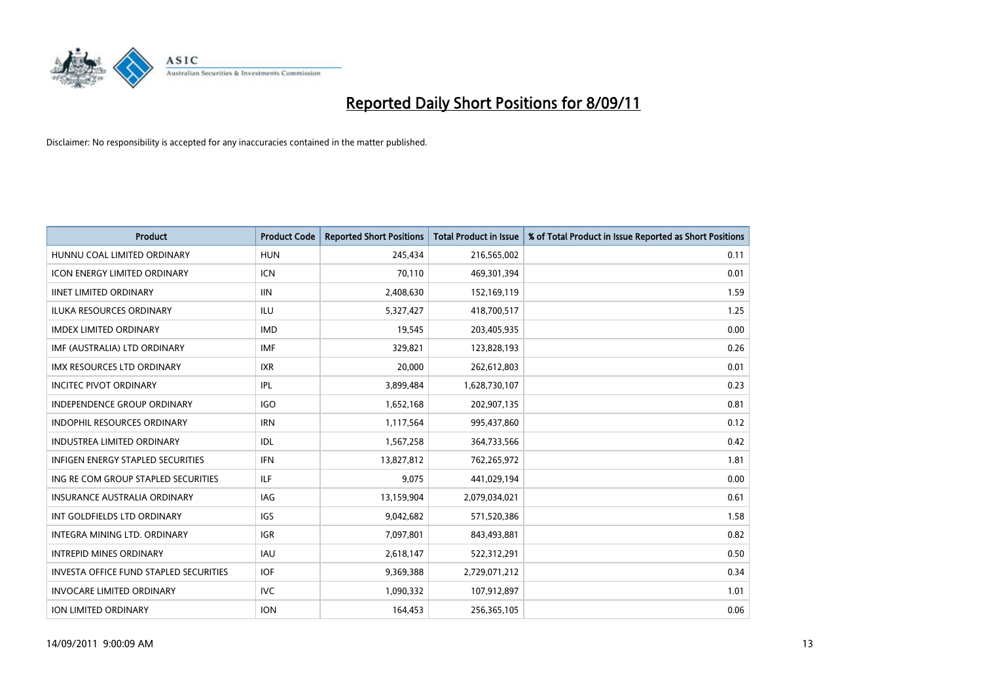

| Product                                  | <b>Product Code</b> | <b>Reported Short Positions</b> | Total Product in Issue | % of Total Product in Issue Reported as Short Positions |
|------------------------------------------|---------------------|---------------------------------|------------------------|---------------------------------------------------------|
| HUNNU COAL LIMITED ORDINARY              | <b>HUN</b>          | 245,434                         | 216,565,002            | 0.11                                                    |
| <b>ICON ENERGY LIMITED ORDINARY</b>      | <b>ICN</b>          | 70,110                          | 469,301,394            | 0.01                                                    |
| <b>IINET LIMITED ORDINARY</b>            | <b>IIN</b>          | 2,408,630                       | 152,169,119            | 1.59                                                    |
| ILUKA RESOURCES ORDINARY                 | ILU                 | 5,327,427                       | 418,700,517            | 1.25                                                    |
| <b>IMDEX LIMITED ORDINARY</b>            | <b>IMD</b>          | 19,545                          | 203,405,935            | 0.00                                                    |
| IMF (AUSTRALIA) LTD ORDINARY             | <b>IMF</b>          | 329,821                         | 123,828,193            | 0.26                                                    |
| <b>IMX RESOURCES LTD ORDINARY</b>        | <b>IXR</b>          | 20,000                          | 262,612,803            | 0.01                                                    |
| <b>INCITEC PIVOT ORDINARY</b>            | IPL                 | 3,899,484                       | 1,628,730,107          | 0.23                                                    |
| INDEPENDENCE GROUP ORDINARY              | <b>IGO</b>          | 1,652,168                       | 202,907,135            | 0.81                                                    |
| <b>INDOPHIL RESOURCES ORDINARY</b>       | <b>IRN</b>          | 1,117,564                       | 995,437,860            | 0.12                                                    |
| <b>INDUSTREA LIMITED ORDINARY</b>        | IDL                 | 1,567,258                       | 364,733,566            | 0.42                                                    |
| <b>INFIGEN ENERGY STAPLED SECURITIES</b> | <b>IFN</b>          | 13,827,812                      | 762,265,972            | 1.81                                                    |
| ING RE COM GROUP STAPLED SECURITIES      | ILF                 | 9,075                           | 441,029,194            | 0.00                                                    |
| <b>INSURANCE AUSTRALIA ORDINARY</b>      | IAG                 | 13,159,904                      | 2,079,034,021          | 0.61                                                    |
| INT GOLDFIELDS LTD ORDINARY              | <b>IGS</b>          | 9,042,682                       | 571,520,386            | 1.58                                                    |
| INTEGRA MINING LTD, ORDINARY             | <b>IGR</b>          | 7,097,801                       | 843,493,881            | 0.82                                                    |
| <b>INTREPID MINES ORDINARY</b>           | <b>IAU</b>          | 2,618,147                       | 522,312,291            | 0.50                                                    |
| INVESTA OFFICE FUND STAPLED SECURITIES   | <b>IOF</b>          | 9,369,388                       | 2,729,071,212          | 0.34                                                    |
| <b>INVOCARE LIMITED ORDINARY</b>         | <b>IVC</b>          | 1,090,332                       | 107,912,897            | 1.01                                                    |
| <b>ION LIMITED ORDINARY</b>              | <b>ION</b>          | 164,453                         | 256,365,105            | 0.06                                                    |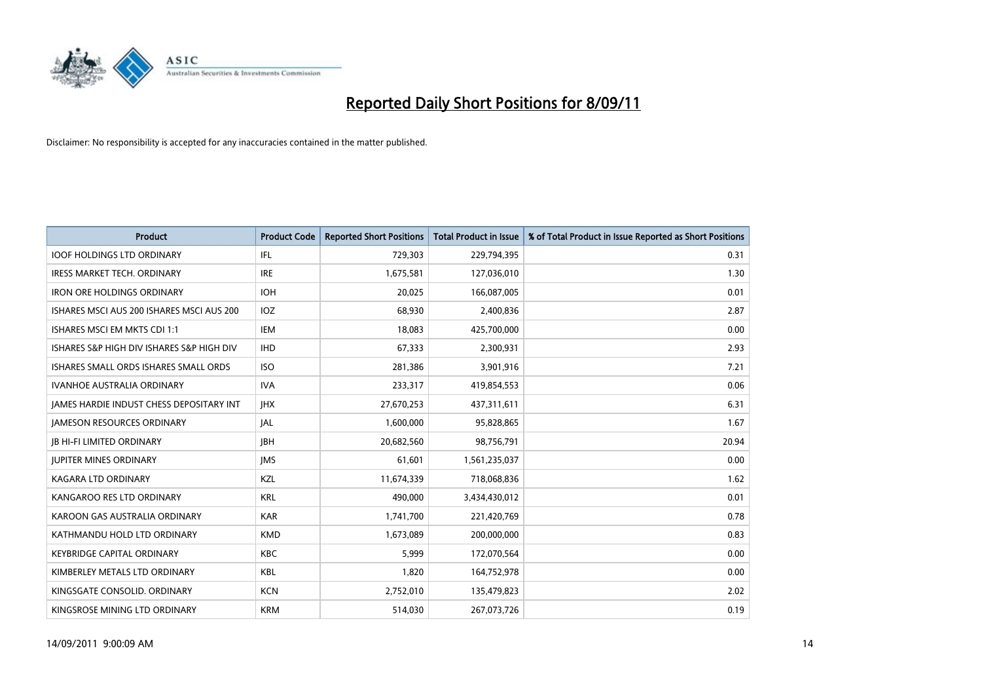

| <b>Product</b>                            | <b>Product Code</b> | <b>Reported Short Positions</b> | Total Product in Issue | % of Total Product in Issue Reported as Short Positions |
|-------------------------------------------|---------------------|---------------------------------|------------------------|---------------------------------------------------------|
| <b>IOOF HOLDINGS LTD ORDINARY</b>         | IFL.                | 729,303                         | 229,794,395            | 0.31                                                    |
| <b>IRESS MARKET TECH. ORDINARY</b>        | <b>IRE</b>          | 1,675,581                       | 127,036,010            | 1.30                                                    |
| <b>IRON ORE HOLDINGS ORDINARY</b>         | <b>IOH</b>          | 20,025                          | 166,087,005            | 0.01                                                    |
| ISHARES MSCI AUS 200 ISHARES MSCI AUS 200 | <b>IOZ</b>          | 68,930                          | 2,400,836              | 2.87                                                    |
| ISHARES MSCI EM MKTS CDI 1:1              | <b>IEM</b>          | 18.083                          | 425,700,000            | 0.00                                                    |
| ISHARES S&P HIGH DIV ISHARES S&P HIGH DIV | <b>IHD</b>          | 67,333                          | 2,300,931              | 2.93                                                    |
| ISHARES SMALL ORDS ISHARES SMALL ORDS     | <b>ISO</b>          | 281,386                         | 3,901,916              | 7.21                                                    |
| <b>IVANHOE AUSTRALIA ORDINARY</b>         | <b>IVA</b>          | 233,317                         | 419,854,553            | 0.06                                                    |
| JAMES HARDIE INDUST CHESS DEPOSITARY INT  | <b>JHX</b>          | 27,670,253                      | 437,311,611            | 6.31                                                    |
| <b>IAMESON RESOURCES ORDINARY</b>         | <b>JAL</b>          | 1,600,000                       | 95,828,865             | 1.67                                                    |
| <b>JB HI-FI LIMITED ORDINARY</b>          | <b>IBH</b>          | 20,682,560                      | 98,756,791             | 20.94                                                   |
| <b>JUPITER MINES ORDINARY</b>             | <b>IMS</b>          | 61,601                          | 1,561,235,037          | 0.00                                                    |
| <b>KAGARA LTD ORDINARY</b>                | KZL                 | 11,674,339                      | 718,068,836            | 1.62                                                    |
| KANGAROO RES LTD ORDINARY                 | <b>KRL</b>          | 490.000                         | 3,434,430,012          | 0.01                                                    |
| KAROON GAS AUSTRALIA ORDINARY             | <b>KAR</b>          | 1,741,700                       | 221,420,769            | 0.78                                                    |
| KATHMANDU HOLD LTD ORDINARY               | <b>KMD</b>          | 1,673,089                       | 200,000,000            | 0.83                                                    |
| <b>KEYBRIDGE CAPITAL ORDINARY</b>         | <b>KBC</b>          | 5,999                           | 172,070,564            | 0.00                                                    |
| KIMBERLEY METALS LTD ORDINARY             | <b>KBL</b>          | 1,820                           | 164,752,978            | 0.00                                                    |
| KINGSGATE CONSOLID. ORDINARY              | <b>KCN</b>          | 2,752,010                       | 135,479,823            | 2.02                                                    |
| KINGSROSE MINING LTD ORDINARY             | <b>KRM</b>          | 514,030                         | 267,073,726            | 0.19                                                    |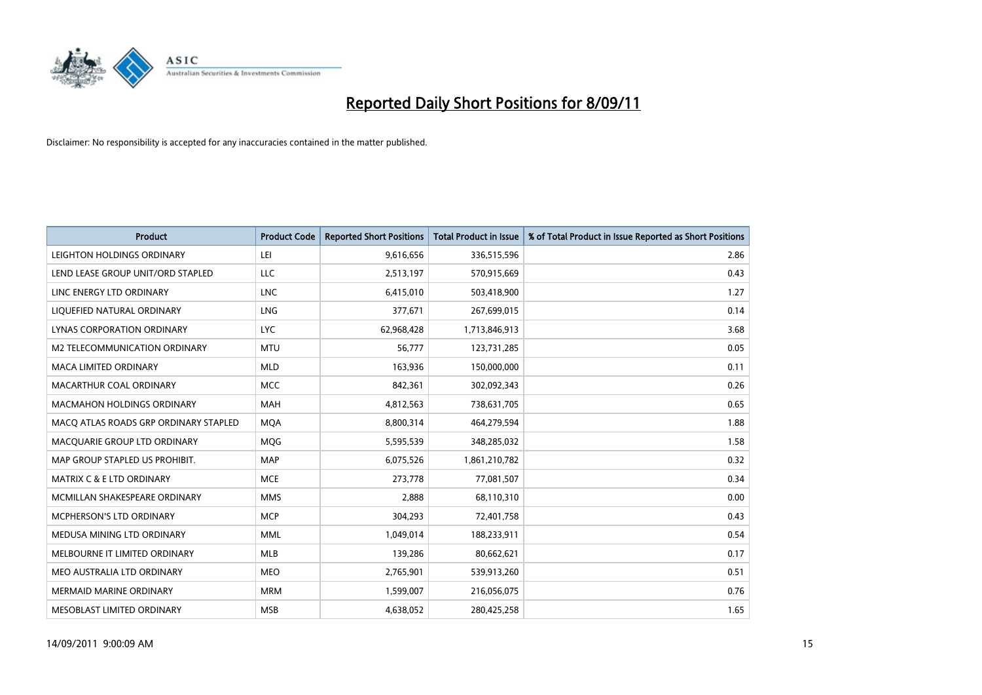

| <b>Product</b>                        | <b>Product Code</b> | <b>Reported Short Positions</b> | <b>Total Product in Issue</b> | % of Total Product in Issue Reported as Short Positions |
|---------------------------------------|---------------------|---------------------------------|-------------------------------|---------------------------------------------------------|
| LEIGHTON HOLDINGS ORDINARY            | LEI                 | 9,616,656                       | 336,515,596                   | 2.86                                                    |
| LEND LEASE GROUP UNIT/ORD STAPLED     | LLC                 | 2,513,197                       | 570,915,669                   | 0.43                                                    |
| LINC ENERGY LTD ORDINARY              | <b>LNC</b>          | 6,415,010                       | 503,418,900                   | 1.27                                                    |
| LIQUEFIED NATURAL ORDINARY            | LNG                 | 377,671                         | 267,699,015                   | 0.14                                                    |
| LYNAS CORPORATION ORDINARY            | <b>LYC</b>          | 62,968,428                      | 1,713,846,913                 | 3.68                                                    |
| M2 TELECOMMUNICATION ORDINARY         | <b>MTU</b>          | 56,777                          | 123,731,285                   | 0.05                                                    |
| MACA LIMITED ORDINARY                 | <b>MLD</b>          | 163,936                         | 150,000,000                   | 0.11                                                    |
| MACARTHUR COAL ORDINARY               | <b>MCC</b>          | 842,361                         | 302,092,343                   | 0.26                                                    |
| MACMAHON HOLDINGS ORDINARY            | <b>MAH</b>          | 4,812,563                       | 738,631,705                   | 0.65                                                    |
| MACO ATLAS ROADS GRP ORDINARY STAPLED | <b>MOA</b>          | 8,800,314                       | 464,279,594                   | 1.88                                                    |
| MACQUARIE GROUP LTD ORDINARY          | MQG                 | 5,595,539                       | 348,285,032                   | 1.58                                                    |
| MAP GROUP STAPLED US PROHIBIT.        | <b>MAP</b>          | 6,075,526                       | 1,861,210,782                 | 0.32                                                    |
| <b>MATRIX C &amp; E LTD ORDINARY</b>  | <b>MCE</b>          | 273,778                         | 77,081,507                    | 0.34                                                    |
| MCMILLAN SHAKESPEARE ORDINARY         | <b>MMS</b>          | 2,888                           | 68,110,310                    | 0.00                                                    |
| MCPHERSON'S LTD ORDINARY              | <b>MCP</b>          | 304,293                         | 72,401,758                    | 0.43                                                    |
| MEDUSA MINING LTD ORDINARY            | <b>MML</b>          | 1,049,014                       | 188,233,911                   | 0.54                                                    |
| MELBOURNE IT LIMITED ORDINARY         | <b>MLB</b>          | 139,286                         | 80,662,621                    | 0.17                                                    |
| MEO AUSTRALIA LTD ORDINARY            | <b>MEO</b>          | 2,765,901                       | 539,913,260                   | 0.51                                                    |
| <b>MERMAID MARINE ORDINARY</b>        | <b>MRM</b>          | 1,599,007                       | 216,056,075                   | 0.76                                                    |
| MESOBLAST LIMITED ORDINARY            | <b>MSB</b>          | 4,638,052                       | 280,425,258                   | 1.65                                                    |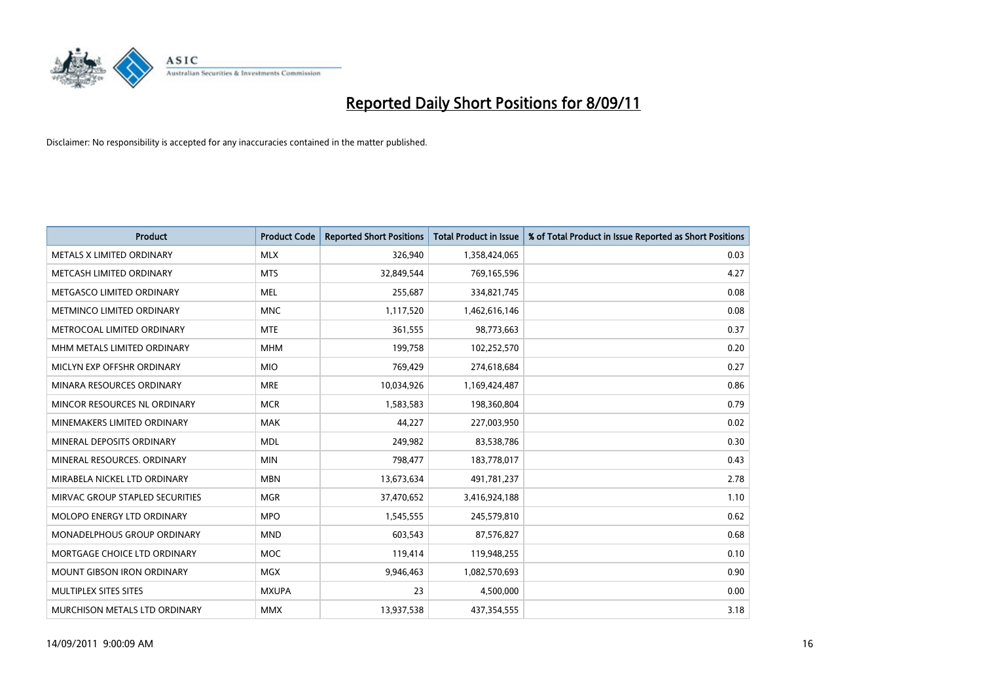

| <b>Product</b>                   | <b>Product Code</b> | <b>Reported Short Positions</b> | <b>Total Product in Issue</b> | % of Total Product in Issue Reported as Short Positions |
|----------------------------------|---------------------|---------------------------------|-------------------------------|---------------------------------------------------------|
| METALS X LIMITED ORDINARY        | <b>MLX</b>          | 326,940                         | 1,358,424,065                 | 0.03                                                    |
| METCASH LIMITED ORDINARY         | <b>MTS</b>          | 32,849,544                      | 769,165,596                   | 4.27                                                    |
| METGASCO LIMITED ORDINARY        | <b>MEL</b>          | 255,687                         | 334,821,745                   | 0.08                                                    |
| <b>METMINCO LIMITED ORDINARY</b> | <b>MNC</b>          | 1,117,520                       | 1,462,616,146                 | 0.08                                                    |
| METROCOAL LIMITED ORDINARY       | <b>MTE</b>          | 361,555                         | 98,773,663                    | 0.37                                                    |
| MHM METALS LIMITED ORDINARY      | <b>MHM</b>          | 199,758                         | 102,252,570                   | 0.20                                                    |
| MICLYN EXP OFFSHR ORDINARY       | <b>MIO</b>          | 769,429                         | 274,618,684                   | 0.27                                                    |
| MINARA RESOURCES ORDINARY        | <b>MRE</b>          | 10,034,926                      | 1,169,424,487                 | 0.86                                                    |
| MINCOR RESOURCES NL ORDINARY     | <b>MCR</b>          | 1,583,583                       | 198,360,804                   | 0.79                                                    |
| MINEMAKERS LIMITED ORDINARY      | <b>MAK</b>          | 44,227                          | 227,003,950                   | 0.02                                                    |
| MINERAL DEPOSITS ORDINARY        | <b>MDL</b>          | 249,982                         | 83,538,786                    | 0.30                                                    |
| MINERAL RESOURCES, ORDINARY      | <b>MIN</b>          | 798,477                         | 183,778,017                   | 0.43                                                    |
| MIRABELA NICKEL LTD ORDINARY     | <b>MBN</b>          | 13,673,634                      | 491,781,237                   | 2.78                                                    |
| MIRVAC GROUP STAPLED SECURITIES  | <b>MGR</b>          | 37,470,652                      | 3,416,924,188                 | 1.10                                                    |
| MOLOPO ENERGY LTD ORDINARY       | <b>MPO</b>          | 1,545,555                       | 245,579,810                   | 0.62                                                    |
| MONADELPHOUS GROUP ORDINARY      | <b>MND</b>          | 603,543                         | 87,576,827                    | 0.68                                                    |
| MORTGAGE CHOICE LTD ORDINARY     | <b>MOC</b>          | 119,414                         | 119,948,255                   | 0.10                                                    |
| MOUNT GIBSON IRON ORDINARY       | <b>MGX</b>          | 9,946,463                       | 1,082,570,693                 | 0.90                                                    |
| MULTIPLEX SITES SITES            | <b>MXUPA</b>        | 23                              | 4,500,000                     | 0.00                                                    |
| MURCHISON METALS LTD ORDINARY    | <b>MMX</b>          | 13,937,538                      | 437,354,555                   | 3.18                                                    |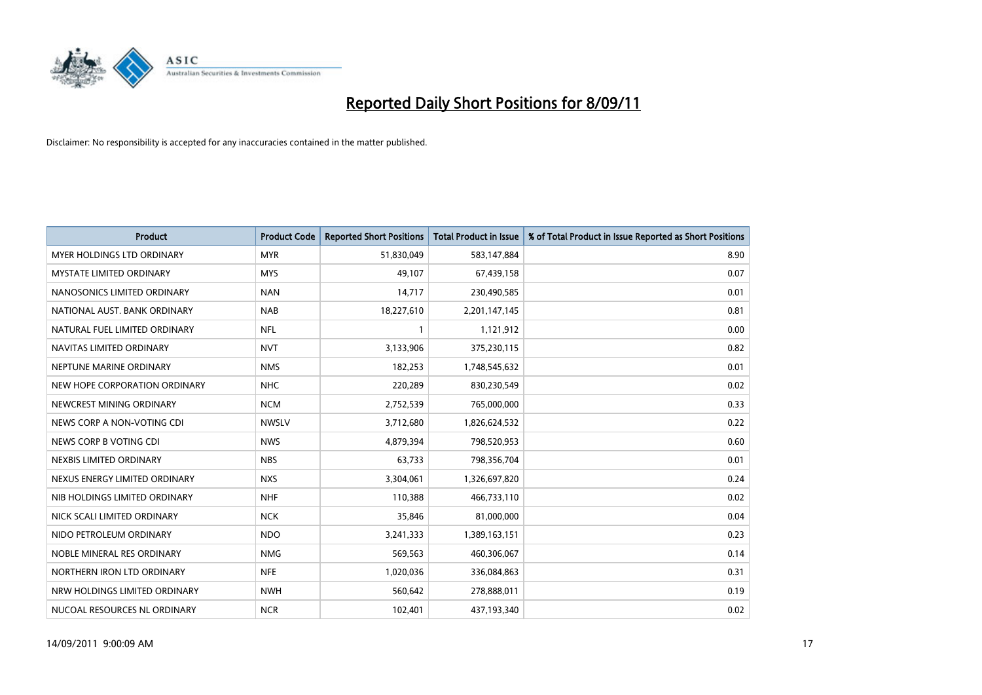

| Product                           | <b>Product Code</b> | <b>Reported Short Positions</b> | <b>Total Product in Issue</b> | % of Total Product in Issue Reported as Short Positions |
|-----------------------------------|---------------------|---------------------------------|-------------------------------|---------------------------------------------------------|
| <b>MYER HOLDINGS LTD ORDINARY</b> | <b>MYR</b>          | 51,830,049                      | 583,147,884                   | 8.90                                                    |
| <b>MYSTATE LIMITED ORDINARY</b>   | <b>MYS</b>          | 49.107                          | 67,439,158                    | 0.07                                                    |
| NANOSONICS LIMITED ORDINARY       | <b>NAN</b>          | 14,717                          | 230,490,585                   | 0.01                                                    |
| NATIONAL AUST. BANK ORDINARY      | <b>NAB</b>          | 18,227,610                      | 2,201,147,145                 | 0.81                                                    |
| NATURAL FUEL LIMITED ORDINARY     | <b>NFL</b>          |                                 | 1,121,912                     | 0.00                                                    |
| NAVITAS LIMITED ORDINARY          | <b>NVT</b>          | 3,133,906                       | 375,230,115                   | 0.82                                                    |
| NEPTUNE MARINE ORDINARY           | <b>NMS</b>          | 182,253                         | 1,748,545,632                 | 0.01                                                    |
| NEW HOPE CORPORATION ORDINARY     | <b>NHC</b>          | 220,289                         | 830,230,549                   | 0.02                                                    |
| NEWCREST MINING ORDINARY          | <b>NCM</b>          | 2,752,539                       | 765,000,000                   | 0.33                                                    |
| NEWS CORP A NON-VOTING CDI        | <b>NWSLV</b>        | 3,712,680                       | 1,826,624,532                 | 0.22                                                    |
| NEWS CORP B VOTING CDI            | <b>NWS</b>          | 4,879,394                       | 798,520,953                   | 0.60                                                    |
| NEXBIS LIMITED ORDINARY           | <b>NBS</b>          | 63,733                          | 798,356,704                   | 0.01                                                    |
| NEXUS ENERGY LIMITED ORDINARY     | <b>NXS</b>          | 3,304,061                       | 1,326,697,820                 | 0.24                                                    |
| NIB HOLDINGS LIMITED ORDINARY     | <b>NHF</b>          | 110.388                         | 466,733,110                   | 0.02                                                    |
| NICK SCALI LIMITED ORDINARY       | <b>NCK</b>          | 35,846                          | 81,000,000                    | 0.04                                                    |
| NIDO PETROLEUM ORDINARY           | <b>NDO</b>          | 3,241,333                       | 1,389,163,151                 | 0.23                                                    |
| NOBLE MINERAL RES ORDINARY        | <b>NMG</b>          | 569,563                         | 460,306,067                   | 0.14                                                    |
| NORTHERN IRON LTD ORDINARY        | <b>NFE</b>          | 1,020,036                       | 336,084,863                   | 0.31                                                    |
| NRW HOLDINGS LIMITED ORDINARY     | <b>NWH</b>          | 560,642                         | 278,888,011                   | 0.19                                                    |
| NUCOAL RESOURCES NL ORDINARY      | <b>NCR</b>          | 102,401                         | 437,193,340                   | 0.02                                                    |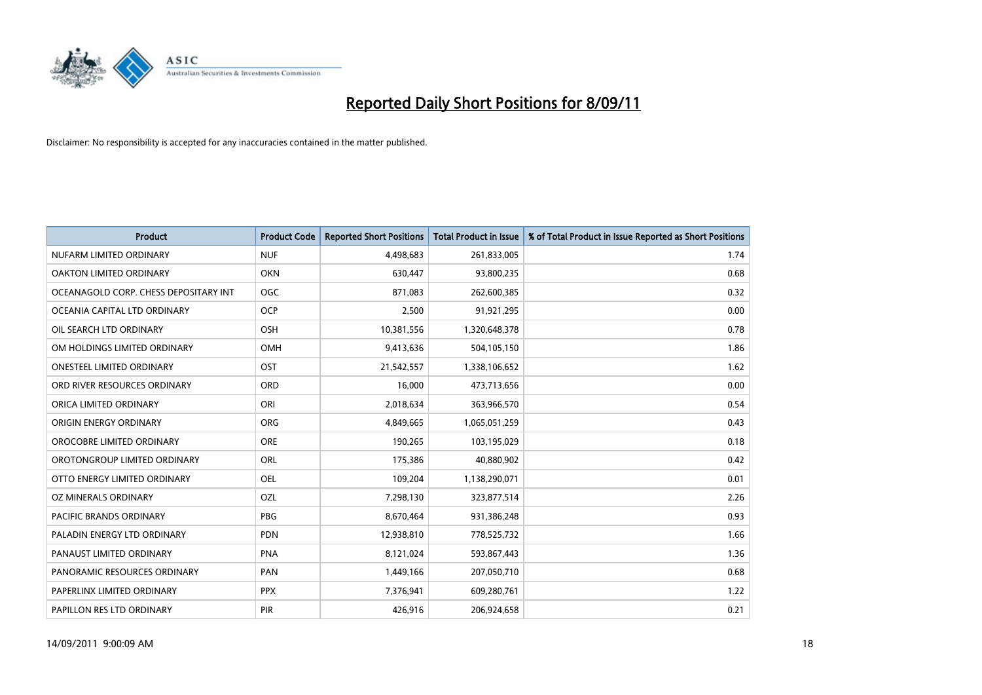

| Product                               | <b>Product Code</b> | <b>Reported Short Positions</b> | <b>Total Product in Issue</b> | % of Total Product in Issue Reported as Short Positions |
|---------------------------------------|---------------------|---------------------------------|-------------------------------|---------------------------------------------------------|
| NUFARM LIMITED ORDINARY               | <b>NUF</b>          | 4,498,683                       | 261,833,005                   | 1.74                                                    |
| OAKTON LIMITED ORDINARY               | <b>OKN</b>          | 630,447                         | 93,800,235                    | 0.68                                                    |
| OCEANAGOLD CORP. CHESS DEPOSITARY INT | <b>OGC</b>          | 871,083                         | 262,600,385                   | 0.32                                                    |
| OCEANIA CAPITAL LTD ORDINARY          | <b>OCP</b>          | 2,500                           | 91,921,295                    | 0.00                                                    |
| OIL SEARCH LTD ORDINARY               | OSH                 | 10,381,556                      | 1,320,648,378                 | 0.78                                                    |
| OM HOLDINGS LIMITED ORDINARY          | OMH                 | 9,413,636                       | 504,105,150                   | 1.86                                                    |
| <b>ONESTEEL LIMITED ORDINARY</b>      | OST                 | 21,542,557                      | 1,338,106,652                 | 1.62                                                    |
| ORD RIVER RESOURCES ORDINARY          | ORD                 | 16,000                          | 473,713,656                   | 0.00                                                    |
| ORICA LIMITED ORDINARY                | ORI                 | 2,018,634                       | 363,966,570                   | 0.54                                                    |
| ORIGIN ENERGY ORDINARY                | ORG                 | 4,849,665                       | 1,065,051,259                 | 0.43                                                    |
| OROCOBRE LIMITED ORDINARY             | <b>ORE</b>          | 190,265                         | 103,195,029                   | 0.18                                                    |
| OROTONGROUP LIMITED ORDINARY          | ORL                 | 175,386                         | 40,880,902                    | 0.42                                                    |
| OTTO ENERGY LIMITED ORDINARY          | <b>OEL</b>          | 109,204                         | 1,138,290,071                 | 0.01                                                    |
| OZ MINERALS ORDINARY                  | OZL                 | 7,298,130                       | 323,877,514                   | 2.26                                                    |
| <b>PACIFIC BRANDS ORDINARY</b>        | <b>PBG</b>          | 8,670,464                       | 931,386,248                   | 0.93                                                    |
| PALADIN ENERGY LTD ORDINARY           | <b>PDN</b>          | 12,938,810                      | 778,525,732                   | 1.66                                                    |
| PANAUST LIMITED ORDINARY              | <b>PNA</b>          | 8,121,024                       | 593,867,443                   | 1.36                                                    |
| PANORAMIC RESOURCES ORDINARY          | PAN                 | 1,449,166                       | 207,050,710                   | 0.68                                                    |
| PAPERLINX LIMITED ORDINARY            | <b>PPX</b>          | 7,376,941                       | 609,280,761                   | 1.22                                                    |
| PAPILLON RES LTD ORDINARY             | PIR                 | 426,916                         | 206,924,658                   | 0.21                                                    |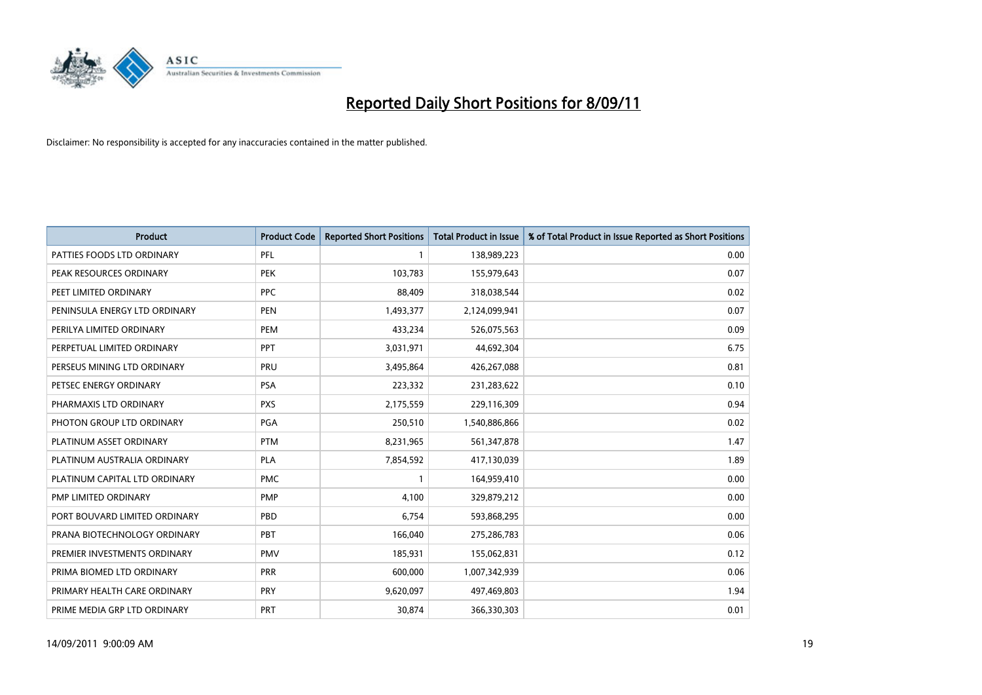

| Product                       | <b>Product Code</b> | <b>Reported Short Positions</b> | <b>Total Product in Issue</b> | % of Total Product in Issue Reported as Short Positions |
|-------------------------------|---------------------|---------------------------------|-------------------------------|---------------------------------------------------------|
| PATTIES FOODS LTD ORDINARY    | PFL                 |                                 | 138,989,223                   | 0.00                                                    |
| PEAK RESOURCES ORDINARY       | <b>PEK</b>          | 103,783                         | 155,979,643                   | 0.07                                                    |
| PEET LIMITED ORDINARY         | <b>PPC</b>          | 88,409                          | 318,038,544                   | 0.02                                                    |
| PENINSULA ENERGY LTD ORDINARY | <b>PEN</b>          | 1,493,377                       | 2,124,099,941                 | 0.07                                                    |
| PERILYA LIMITED ORDINARY      | PEM                 | 433,234                         | 526,075,563                   | 0.09                                                    |
| PERPETUAL LIMITED ORDINARY    | PPT                 | 3,031,971                       | 44,692,304                    | 6.75                                                    |
| PERSEUS MINING LTD ORDINARY   | PRU                 | 3,495,864                       | 426,267,088                   | 0.81                                                    |
| PETSEC ENERGY ORDINARY        | <b>PSA</b>          | 223,332                         | 231,283,622                   | 0.10                                                    |
| PHARMAXIS LTD ORDINARY        | <b>PXS</b>          | 2,175,559                       | 229,116,309                   | 0.94                                                    |
| PHOTON GROUP LTD ORDINARY     | PGA                 | 250,510                         | 1,540,886,866                 | 0.02                                                    |
| PLATINUM ASSET ORDINARY       | <b>PTM</b>          | 8,231,965                       | 561,347,878                   | 1.47                                                    |
| PLATINUM AUSTRALIA ORDINARY   | <b>PLA</b>          | 7,854,592                       | 417,130,039                   | 1.89                                                    |
| PLATINUM CAPITAL LTD ORDINARY | <b>PMC</b>          |                                 | 164,959,410                   | 0.00                                                    |
| PMP LIMITED ORDINARY          | <b>PMP</b>          | 4,100                           | 329,879,212                   | 0.00                                                    |
| PORT BOUVARD LIMITED ORDINARY | PBD                 | 6,754                           | 593,868,295                   | 0.00                                                    |
| PRANA BIOTECHNOLOGY ORDINARY  | PBT                 | 166,040                         | 275,286,783                   | 0.06                                                    |
| PREMIER INVESTMENTS ORDINARY  | <b>PMV</b>          | 185,931                         | 155,062,831                   | 0.12                                                    |
| PRIMA BIOMED LTD ORDINARY     | <b>PRR</b>          | 600,000                         | 1,007,342,939                 | 0.06                                                    |
| PRIMARY HEALTH CARE ORDINARY  | PRY                 | 9,620,097                       | 497,469,803                   | 1.94                                                    |
| PRIME MEDIA GRP LTD ORDINARY  | PRT                 | 30,874                          | 366,330,303                   | 0.01                                                    |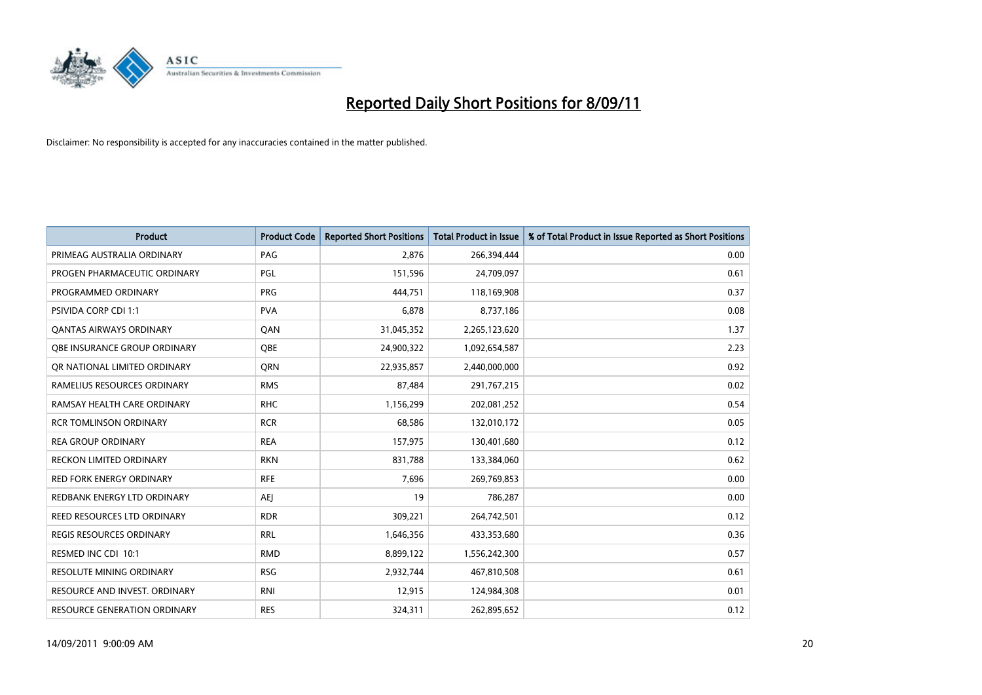

| <b>Product</b>                      | <b>Product Code</b> | <b>Reported Short Positions</b> | Total Product in Issue | % of Total Product in Issue Reported as Short Positions |
|-------------------------------------|---------------------|---------------------------------|------------------------|---------------------------------------------------------|
| PRIMEAG AUSTRALIA ORDINARY          | PAG                 | 2,876                           | 266,394,444            | 0.00                                                    |
| PROGEN PHARMACEUTIC ORDINARY        | PGL                 | 151,596                         | 24,709,097             | 0.61                                                    |
| PROGRAMMED ORDINARY                 | <b>PRG</b>          | 444,751                         | 118,169,908            | 0.37                                                    |
| PSIVIDA CORP CDI 1:1                | <b>PVA</b>          | 6,878                           | 8,737,186              | 0.08                                                    |
| OANTAS AIRWAYS ORDINARY             | QAN                 | 31,045,352                      | 2,265,123,620          | 1.37                                                    |
| OBE INSURANCE GROUP ORDINARY        | <b>OBE</b>          | 24,900,322                      | 1,092,654,587          | 2.23                                                    |
| QR NATIONAL LIMITED ORDINARY        | <b>ORN</b>          | 22,935,857                      | 2,440,000,000          | 0.92                                                    |
| RAMELIUS RESOURCES ORDINARY         | <b>RMS</b>          | 87,484                          | 291,767,215            | 0.02                                                    |
| RAMSAY HEALTH CARE ORDINARY         | <b>RHC</b>          | 1,156,299                       | 202,081,252            | 0.54                                                    |
| <b>RCR TOMLINSON ORDINARY</b>       | <b>RCR</b>          | 68,586                          | 132,010,172            | 0.05                                                    |
| <b>REA GROUP ORDINARY</b>           | <b>REA</b>          | 157,975                         | 130,401,680            | 0.12                                                    |
| <b>RECKON LIMITED ORDINARY</b>      | <b>RKN</b>          | 831,788                         | 133,384,060            | 0.62                                                    |
| <b>RED FORK ENERGY ORDINARY</b>     | <b>RFE</b>          | 7,696                           | 269,769,853            | 0.00                                                    |
| REDBANK ENERGY LTD ORDINARY         | <b>AEI</b>          | 19                              | 786,287                | 0.00                                                    |
| REED RESOURCES LTD ORDINARY         | <b>RDR</b>          | 309,221                         | 264,742,501            | 0.12                                                    |
| <b>REGIS RESOURCES ORDINARY</b>     | <b>RRL</b>          | 1,646,356                       | 433,353,680            | 0.36                                                    |
| RESMED INC CDI 10:1                 | <b>RMD</b>          | 8,899,122                       | 1,556,242,300          | 0.57                                                    |
| RESOLUTE MINING ORDINARY            | <b>RSG</b>          | 2,932,744                       | 467,810,508            | 0.61                                                    |
| RESOURCE AND INVEST. ORDINARY       | <b>RNI</b>          | 12,915                          | 124,984,308            | 0.01                                                    |
| <b>RESOURCE GENERATION ORDINARY</b> | <b>RES</b>          | 324,311                         | 262,895,652            | 0.12                                                    |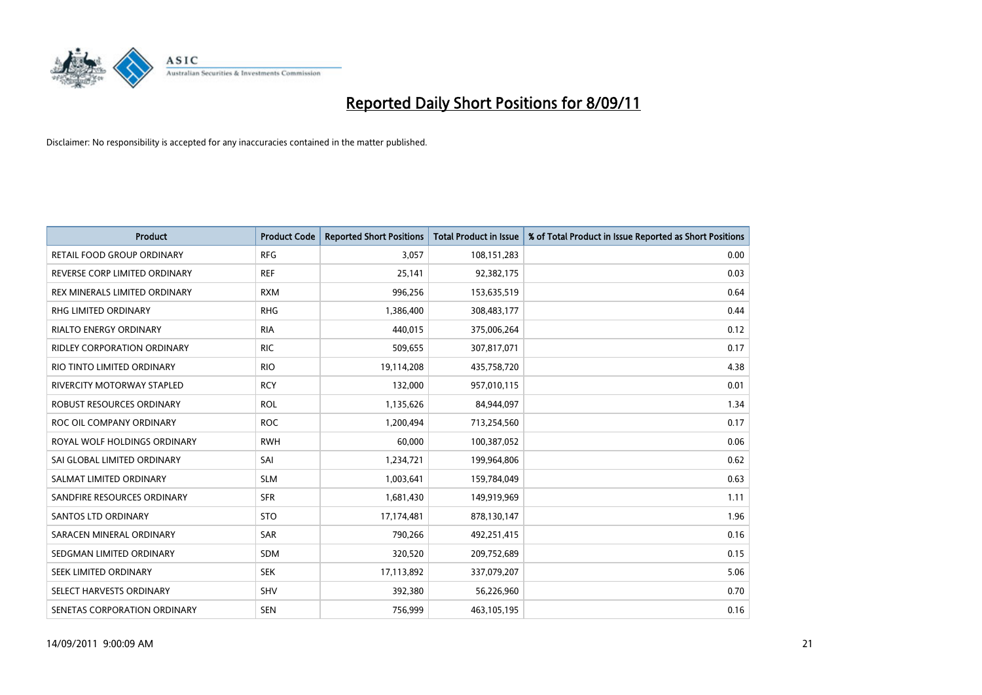

| <b>Product</b>                     | <b>Product Code</b> | <b>Reported Short Positions</b> | Total Product in Issue | % of Total Product in Issue Reported as Short Positions |
|------------------------------------|---------------------|---------------------------------|------------------------|---------------------------------------------------------|
| <b>RETAIL FOOD GROUP ORDINARY</b>  | <b>RFG</b>          | 3,057                           | 108,151,283            | 0.00                                                    |
| REVERSE CORP LIMITED ORDINARY      | <b>REF</b>          | 25,141                          | 92,382,175             | 0.03                                                    |
| REX MINERALS LIMITED ORDINARY      | <b>RXM</b>          | 996,256                         | 153,635,519            | 0.64                                                    |
| RHG LIMITED ORDINARY               | <b>RHG</b>          | 1,386,400                       | 308,483,177            | 0.44                                                    |
| <b>RIALTO ENERGY ORDINARY</b>      | <b>RIA</b>          | 440.015                         | 375,006,264            | 0.12                                                    |
| <b>RIDLEY CORPORATION ORDINARY</b> | <b>RIC</b>          | 509,655                         | 307,817,071            | 0.17                                                    |
| RIO TINTO LIMITED ORDINARY         | <b>RIO</b>          | 19,114,208                      | 435,758,720            | 4.38                                                    |
| <b>RIVERCITY MOTORWAY STAPLED</b>  | <b>RCY</b>          | 132,000                         | 957,010,115            | 0.01                                                    |
| ROBUST RESOURCES ORDINARY          | <b>ROL</b>          | 1,135,626                       | 84,944,097             | 1.34                                                    |
| ROC OIL COMPANY ORDINARY           | <b>ROC</b>          | 1,200,494                       | 713,254,560            | 0.17                                                    |
| ROYAL WOLF HOLDINGS ORDINARY       | <b>RWH</b>          | 60,000                          | 100,387,052            | 0.06                                                    |
| SAI GLOBAL LIMITED ORDINARY        | SAI                 | 1,234,721                       | 199,964,806            | 0.62                                                    |
| SALMAT LIMITED ORDINARY            | <b>SLM</b>          | 1,003,641                       | 159,784,049            | 0.63                                                    |
| SANDFIRE RESOURCES ORDINARY        | <b>SFR</b>          | 1,681,430                       | 149,919,969            | 1.11                                                    |
| <b>SANTOS LTD ORDINARY</b>         | <b>STO</b>          | 17,174,481                      | 878,130,147            | 1.96                                                    |
| SARACEN MINERAL ORDINARY           | <b>SAR</b>          | 790,266                         | 492,251,415            | 0.16                                                    |
| SEDGMAN LIMITED ORDINARY           | <b>SDM</b>          | 320,520                         | 209,752,689            | 0.15                                                    |
| SEEK LIMITED ORDINARY              | <b>SEK</b>          | 17,113,892                      | 337,079,207            | 5.06                                                    |
| SELECT HARVESTS ORDINARY           | <b>SHV</b>          | 392,380                         | 56,226,960             | 0.70                                                    |
| SENETAS CORPORATION ORDINARY       | <b>SEN</b>          | 756,999                         | 463,105,195            | 0.16                                                    |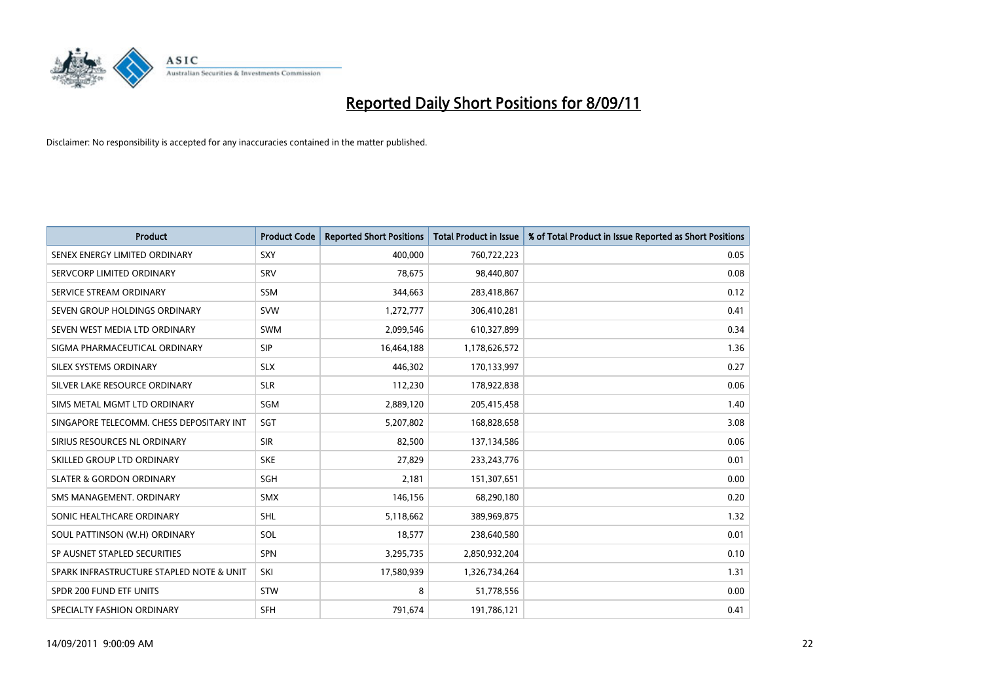

| Product                                  | <b>Product Code</b> | <b>Reported Short Positions</b> | <b>Total Product in Issue</b> | % of Total Product in Issue Reported as Short Positions |
|------------------------------------------|---------------------|---------------------------------|-------------------------------|---------------------------------------------------------|
| SENEX ENERGY LIMITED ORDINARY            | SXY                 | 400,000                         | 760,722,223                   | 0.05                                                    |
| SERVCORP LIMITED ORDINARY                | SRV                 | 78,675                          | 98,440,807                    | 0.08                                                    |
| SERVICE STREAM ORDINARY                  | <b>SSM</b>          | 344,663                         | 283,418,867                   | 0.12                                                    |
| SEVEN GROUP HOLDINGS ORDINARY            | <b>SVW</b>          | 1,272,777                       | 306,410,281                   | 0.41                                                    |
| SEVEN WEST MEDIA LTD ORDINARY            | <b>SWM</b>          | 2,099,546                       | 610,327,899                   | 0.34                                                    |
| SIGMA PHARMACEUTICAL ORDINARY            | <b>SIP</b>          | 16,464,188                      | 1,178,626,572                 | 1.36                                                    |
| SILEX SYSTEMS ORDINARY                   | <b>SLX</b>          | 446.302                         | 170,133,997                   | 0.27                                                    |
| SILVER LAKE RESOURCE ORDINARY            | <b>SLR</b>          | 112,230                         | 178,922,838                   | 0.06                                                    |
| SIMS METAL MGMT LTD ORDINARY             | SGM                 | 2,889,120                       | 205,415,458                   | 1.40                                                    |
| SINGAPORE TELECOMM. CHESS DEPOSITARY INT | SGT                 | 5,207,802                       | 168,828,658                   | 3.08                                                    |
| SIRIUS RESOURCES NL ORDINARY             | <b>SIR</b>          | 82,500                          | 137,134,586                   | 0.06                                                    |
| SKILLED GROUP LTD ORDINARY               | <b>SKE</b>          | 27,829                          | 233, 243, 776                 | 0.01                                                    |
| <b>SLATER &amp; GORDON ORDINARY</b>      | <b>SGH</b>          | 2,181                           | 151,307,651                   | 0.00                                                    |
| SMS MANAGEMENT, ORDINARY                 | <b>SMX</b>          | 146,156                         | 68,290,180                    | 0.20                                                    |
| SONIC HEALTHCARE ORDINARY                | <b>SHL</b>          | 5,118,662                       | 389,969,875                   | 1.32                                                    |
| SOUL PATTINSON (W.H) ORDINARY            | SOL                 | 18,577                          | 238,640,580                   | 0.01                                                    |
| SP AUSNET STAPLED SECURITIES             | <b>SPN</b>          | 3,295,735                       | 2,850,932,204                 | 0.10                                                    |
| SPARK INFRASTRUCTURE STAPLED NOTE & UNIT | SKI                 | 17,580,939                      | 1,326,734,264                 | 1.31                                                    |
| SPDR 200 FUND ETF UNITS                  | <b>STW</b>          | 8                               | 51,778,556                    | 0.00                                                    |
| SPECIALTY FASHION ORDINARY               | <b>SFH</b>          | 791,674                         | 191,786,121                   | 0.41                                                    |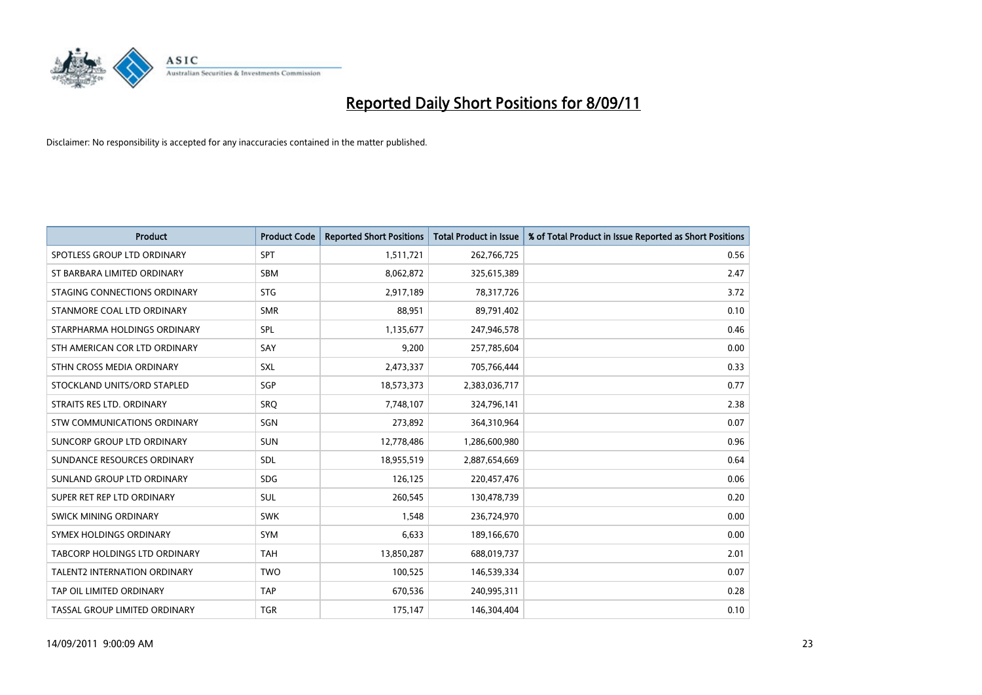

| Product                              | <b>Product Code</b> | <b>Reported Short Positions</b> | <b>Total Product in Issue</b> | % of Total Product in Issue Reported as Short Positions |
|--------------------------------------|---------------------|---------------------------------|-------------------------------|---------------------------------------------------------|
| SPOTLESS GROUP LTD ORDINARY          | SPT                 | 1,511,721                       | 262,766,725                   | 0.56                                                    |
| ST BARBARA LIMITED ORDINARY          | <b>SBM</b>          | 8,062,872                       | 325,615,389                   | 2.47                                                    |
| STAGING CONNECTIONS ORDINARY         | <b>STG</b>          | 2,917,189                       | 78,317,726                    | 3.72                                                    |
| STANMORE COAL LTD ORDINARY           | <b>SMR</b>          | 88,951                          | 89,791,402                    | 0.10                                                    |
| STARPHARMA HOLDINGS ORDINARY         | SPL                 | 1,135,677                       | 247,946,578                   | 0.46                                                    |
| STH AMERICAN COR LTD ORDINARY        | SAY                 | 9,200                           | 257,785,604                   | 0.00                                                    |
| STHN CROSS MEDIA ORDINARY            | <b>SXL</b>          | 2,473,337                       | 705,766,444                   | 0.33                                                    |
| STOCKLAND UNITS/ORD STAPLED          | SGP                 | 18,573,373                      | 2,383,036,717                 | 0.77                                                    |
| STRAITS RES LTD. ORDINARY            | SRO                 | 7,748,107                       | 324,796,141                   | 2.38                                                    |
| <b>STW COMMUNICATIONS ORDINARY</b>   | SGN                 | 273,892                         | 364,310,964                   | 0.07                                                    |
| SUNCORP GROUP LTD ORDINARY           | <b>SUN</b>          | 12,778,486                      | 1,286,600,980                 | 0.96                                                    |
| SUNDANCE RESOURCES ORDINARY          | <b>SDL</b>          | 18,955,519                      | 2,887,654,669                 | 0.64                                                    |
| SUNLAND GROUP LTD ORDINARY           | <b>SDG</b>          | 126,125                         | 220,457,476                   | 0.06                                                    |
| SUPER RET REP LTD ORDINARY           | SUL                 | 260,545                         | 130,478,739                   | 0.20                                                    |
| SWICK MINING ORDINARY                | <b>SWK</b>          | 1,548                           | 236,724,970                   | 0.00                                                    |
| SYMEX HOLDINGS ORDINARY              | <b>SYM</b>          | 6,633                           | 189,166,670                   | 0.00                                                    |
| <b>TABCORP HOLDINGS LTD ORDINARY</b> | <b>TAH</b>          | 13,850,287                      | 688,019,737                   | 2.01                                                    |
| TALENT2 INTERNATION ORDINARY         | <b>TWO</b>          | 100,525                         | 146,539,334                   | 0.07                                                    |
| TAP OIL LIMITED ORDINARY             | <b>TAP</b>          | 670,536                         | 240,995,311                   | 0.28                                                    |
| TASSAL GROUP LIMITED ORDINARY        | <b>TGR</b>          | 175,147                         | 146,304,404                   | 0.10                                                    |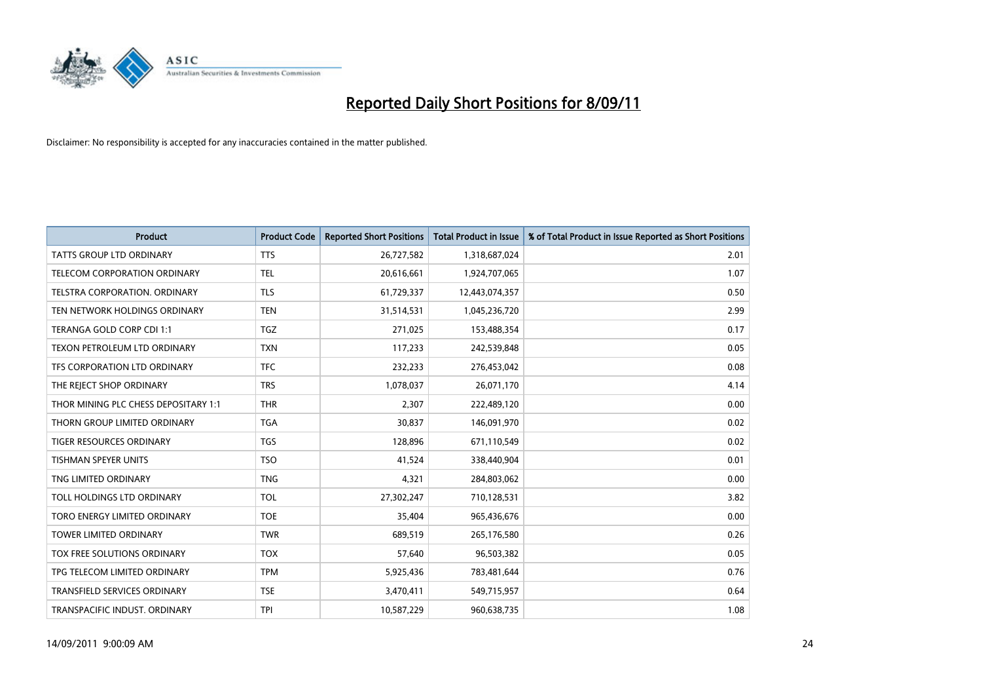

| <b>Product</b>                       | <b>Product Code</b> | <b>Reported Short Positions</b> | Total Product in Issue | % of Total Product in Issue Reported as Short Positions |
|--------------------------------------|---------------------|---------------------------------|------------------------|---------------------------------------------------------|
| <b>TATTS GROUP LTD ORDINARY</b>      | <b>TTS</b>          | 26,727,582                      | 1,318,687,024          | 2.01                                                    |
| <b>TELECOM CORPORATION ORDINARY</b>  | <b>TEL</b>          | 20,616,661                      | 1,924,707,065          | 1.07                                                    |
| TELSTRA CORPORATION, ORDINARY        | <b>TLS</b>          | 61,729,337                      | 12,443,074,357         | 0.50                                                    |
| TEN NETWORK HOLDINGS ORDINARY        | <b>TEN</b>          | 31,514,531                      | 1,045,236,720          | 2.99                                                    |
| TERANGA GOLD CORP CDI 1:1            | <b>TGZ</b>          | 271,025                         | 153,488,354            | 0.17                                                    |
| TEXON PETROLEUM LTD ORDINARY         | <b>TXN</b>          | 117,233                         | 242,539,848            | 0.05                                                    |
| TFS CORPORATION LTD ORDINARY         | <b>TFC</b>          | 232,233                         | 276,453,042            | 0.08                                                    |
| THE REJECT SHOP ORDINARY             | <b>TRS</b>          | 1,078,037                       | 26,071,170             | 4.14                                                    |
| THOR MINING PLC CHESS DEPOSITARY 1:1 | <b>THR</b>          | 2,307                           | 222,489,120            | 0.00                                                    |
| THORN GROUP LIMITED ORDINARY         | <b>TGA</b>          | 30.837                          | 146,091,970            | 0.02                                                    |
| <b>TIGER RESOURCES ORDINARY</b>      | <b>TGS</b>          | 128,896                         | 671,110,549            | 0.02                                                    |
| TISHMAN SPEYER UNITS                 | <b>TSO</b>          | 41,524                          | 338,440,904            | 0.01                                                    |
| TNG LIMITED ORDINARY                 | <b>TNG</b>          | 4.321                           | 284,803,062            | 0.00                                                    |
| TOLL HOLDINGS LTD ORDINARY           | <b>TOL</b>          | 27,302,247                      | 710,128,531            | 3.82                                                    |
| TORO ENERGY LIMITED ORDINARY         | <b>TOE</b>          | 35,404                          | 965,436,676            | 0.00                                                    |
| <b>TOWER LIMITED ORDINARY</b>        | <b>TWR</b>          | 689,519                         | 265,176,580            | 0.26                                                    |
| TOX FREE SOLUTIONS ORDINARY          | <b>TOX</b>          | 57,640                          | 96,503,382             | 0.05                                                    |
| TPG TELECOM LIMITED ORDINARY         | <b>TPM</b>          | 5,925,436                       | 783,481,644            | 0.76                                                    |
| <b>TRANSFIELD SERVICES ORDINARY</b>  | <b>TSE</b>          | 3,470,411                       | 549,715,957            | 0.64                                                    |
| TRANSPACIFIC INDUST, ORDINARY        | <b>TPI</b>          | 10.587.229                      | 960,638,735            | 1.08                                                    |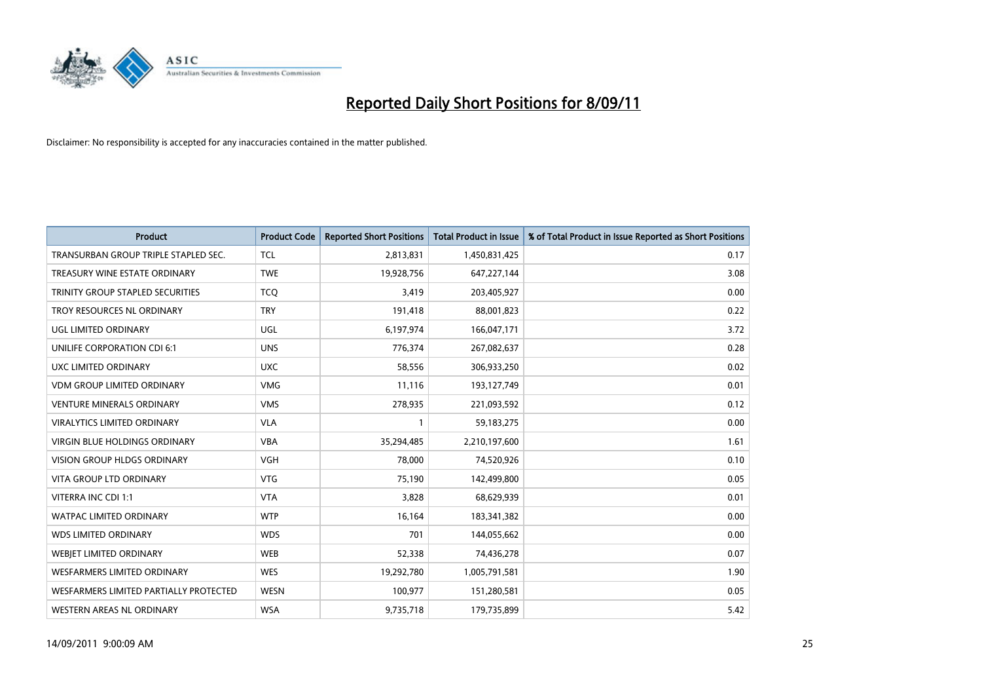

| Product                                | <b>Product Code</b> | <b>Reported Short Positions</b> | <b>Total Product in Issue</b> | % of Total Product in Issue Reported as Short Positions |
|----------------------------------------|---------------------|---------------------------------|-------------------------------|---------------------------------------------------------|
| TRANSURBAN GROUP TRIPLE STAPLED SEC.   | <b>TCL</b>          | 2,813,831                       | 1,450,831,425                 | 0.17                                                    |
| TREASURY WINE ESTATE ORDINARY          | <b>TWE</b>          | 19,928,756                      | 647,227,144                   | 3.08                                                    |
| TRINITY GROUP STAPLED SECURITIES       | <b>TCQ</b>          | 3,419                           | 203,405,927                   | 0.00                                                    |
| TROY RESOURCES NL ORDINARY             | <b>TRY</b>          | 191,418                         | 88,001,823                    | 0.22                                                    |
| UGL LIMITED ORDINARY                   | UGL                 | 6,197,974                       | 166,047,171                   | 3.72                                                    |
| UNILIFE CORPORATION CDI 6:1            | <b>UNS</b>          | 776,374                         | 267,082,637                   | 0.28                                                    |
| UXC LIMITED ORDINARY                   | <b>UXC</b>          | 58,556                          | 306,933,250                   | 0.02                                                    |
| <b>VDM GROUP LIMITED ORDINARY</b>      | <b>VMG</b>          | 11,116                          | 193,127,749                   | 0.01                                                    |
| <b>VENTURE MINERALS ORDINARY</b>       | <b>VMS</b>          | 278,935                         | 221,093,592                   | 0.12                                                    |
| <b>VIRALYTICS LIMITED ORDINARY</b>     | <b>VLA</b>          |                                 | 59,183,275                    | 0.00                                                    |
| <b>VIRGIN BLUE HOLDINGS ORDINARY</b>   | <b>VBA</b>          | 35,294,485                      | 2,210,197,600                 | 1.61                                                    |
| <b>VISION GROUP HLDGS ORDINARY</b>     | <b>VGH</b>          | 78,000                          | 74,520,926                    | 0.10                                                    |
| <b>VITA GROUP LTD ORDINARY</b>         | <b>VTG</b>          | 75,190                          | 142,499,800                   | 0.05                                                    |
| <b>VITERRA INC CDI 1:1</b>             | <b>VTA</b>          | 3,828                           | 68,629,939                    | 0.01                                                    |
| <b>WATPAC LIMITED ORDINARY</b>         | <b>WTP</b>          | 16,164                          | 183,341,382                   | 0.00                                                    |
| <b>WDS LIMITED ORDINARY</b>            | <b>WDS</b>          | 701                             | 144,055,662                   | 0.00                                                    |
| <b>WEBIET LIMITED ORDINARY</b>         | <b>WEB</b>          | 52,338                          | 74,436,278                    | 0.07                                                    |
| WESFARMERS LIMITED ORDINARY            | <b>WES</b>          | 19,292,780                      | 1,005,791,581                 | 1.90                                                    |
| WESFARMERS LIMITED PARTIALLY PROTECTED | <b>WESN</b>         | 100,977                         | 151,280,581                   | 0.05                                                    |
| WESTERN AREAS NL ORDINARY              | <b>WSA</b>          | 9,735,718                       | 179,735,899                   | 5.42                                                    |